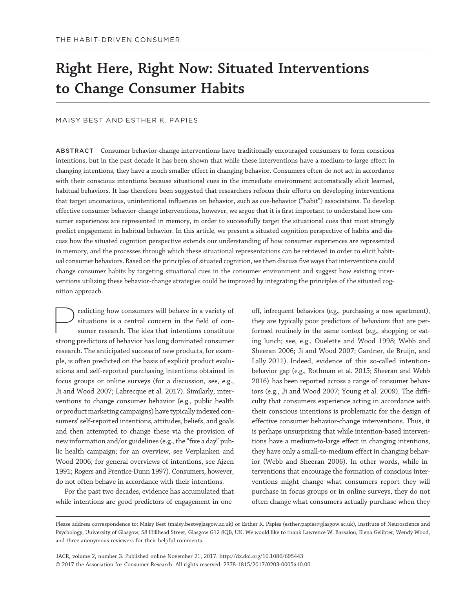# Right Here, Right Now: Situated Interventions to Change Consumer Habits

## MAISY BEST AND ESTHER K. PAPIES

ABSTRACT Consumer behavior-change interventions have traditionally encouraged consumers to form conscious intentions, but in the past decade it has been shown that while these interventions have a medium-to-large effect in changing intentions, they have a much smaller effect in changing behavior. Consumers often do not act in accordance with their conscious intentions because situational cues in the immediate environment automatically elicit learned, habitual behaviors. It has therefore been suggested that researchers refocus their efforts on developing interventions that target unconscious, unintentional influences on behavior, such as cue-behavior ("habit") associations. To develop effective consumer behavior-change interventions, however, we argue that it is first important to understand how consumer experiences are represented in memory, in order to successfully target the situational cues that most strongly predict engagement in habitual behavior. In this article, we present a situated cognition perspective of habits and discuss how the situated cognition perspective extends our understanding of how consumer experiences are represented in memory, and the processes through which these situational representations can be retrieved in order to elicit habitual consumer behaviors. Based on the principles of situated cognition, we then discuss five ways that interventions could change consumer habits by targeting situational cues in the consumer environment and suggest how existing interventions utilizing these behavior-change strategies could be improved by integrating the principles of the situated cognition approach.

redicting how consumers will behave in a variety of situations is a central concern in the field of consumer research. The idea that intentions constitute strong predictors of behavior has long dominated consumer research. The anticipated success of new products, for example, is often predicted on the basis of explicit product evaluations and self-reported purchasing intentions obtained in focus groups or online surveys (for a discussion, see, e.g., Ji and Wood 2007; Labrecque et al. 2017). Similarly, interventions to change consumer behavior (e.g., public health or product marketing campaigns) have typically indexed consumers'self-reported intentions, attitudes, beliefs, and goals and then attempted to change these via the provision of new information and/or guidelines (e.g., the "five a day" public health campaign; for an overview, see Verplanken and Wood 2006; for general overviews of intentions, see Ajzen 1991; Rogers and Prentice-Dunn 1997). Consumers, however, do not often behave in accordance with their intentions.

For the past two decades, evidence has accumulated that while intentions are good predictors of engagement in oneoff, infrequent behaviors (e.g., purchasing a new apartment), they are typically poor predictors of behaviors that are performed routinely in the same context (e.g., shopping or eating lunch; see, e.g., Ouelette and Wood 1998; Webb and Sheeran 2006; Ji and Wood 2007; Gardner, de Bruijn, and Lally 2011). Indeed, evidence of this so-called intentionbehavior gap (e.g., Rothman et al. 2015; Sheeran and Webb 2016) has been reported across a range of consumer behaviors (e.g., Ji and Wood 2007; Young et al. 2009). The difficulty that consumers experience acting in accordance with their conscious intentions is problematic for the design of effective consumer behavior-change interventions. Thus, it is perhaps unsurprising that while intention-based interventions have a medium-to-large effect in changing intentions, they have only a small-to-medium effect in changing behavior (Webb and Sheeran 2006). In other words, while interventions that encourage the formation of conscious interventions might change what consumers report they will purchase in focus groups or in online surveys, they do not often change what consumers actually purchase when they

JACR, volume 2, number 3. Published online November 21, 2017. http://dx.doi.org/10.1086/695443 © 2017 the Association for Consumer Research. All rights reserved. 2378-1815/2017/0203-0005\$10.00

Please address correspondence to: Maisy Best (maisy.best@glasgow.ac.uk) or Esther K. Papies (esther.papies@glasgow.ac.uk), Institute of Neuroscience and Psychology, University of Glasgow, 58 Hillhead Street, Glasgow G12 8QB, UK. We would like to thank Lawrence W. Barsalou, Elena Gelibter, Wendy Wood, and three anonymous reviewers for their helpful comments.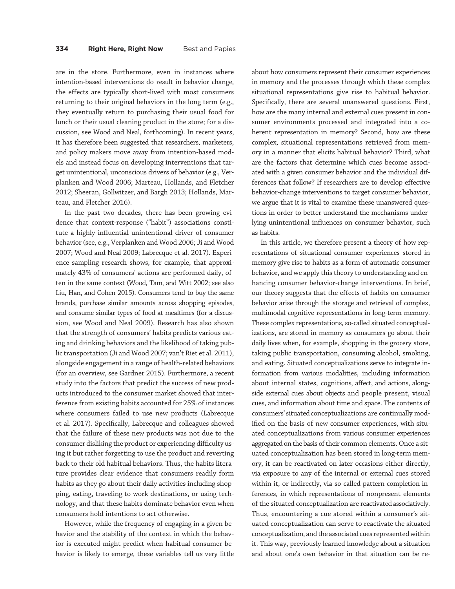are in the store. Furthermore, even in instances where intention-based interventions do result in behavior change, the effects are typically short-lived with most consumers returning to their original behaviors in the long term (e.g., they eventually return to purchasing their usual food for lunch or their usual cleaning product in the store; for a discussion, see Wood and Neal, forthcoming). In recent years, it has therefore been suggested that researchers, marketers, and policy makers move away from intention-based models and instead focus on developing interventions that target unintentional, unconscious drivers of behavior (e.g., Verplanken and Wood 2006; Marteau, Hollands, and Fletcher 2012; Sheeran, Gollwitzer, and Bargh 2013; Hollands, Marteau, and Fletcher 2016).

In the past two decades, there has been growing evidence that context-response ("habit") associations constitute a highly influential unintentional driver of consumer behavior (see, e.g., Verplanken and Wood 2006; Ji and Wood 2007; Wood and Neal 2009; Labrecque et al. 2017). Experience sampling research shows, for example, that approximately 43% of consumers' actions are performed daily, often in the same context (Wood, Tam, and Witt 2002; see also Liu, Han, and Cohen 2015). Consumers tend to buy the same brands, purchase similar amounts across shopping episodes, and consume similar types of food at mealtimes (for a discussion, see Wood and Neal 2009). Research has also shown that the strength of consumers' habits predicts various eating and drinking behaviors and the likelihood of taking public transportation (Ji and Wood 2007; van't Riet et al. 2011), alongside engagement in a range of health-related behaviors (for an overview, see Gardner 2015). Furthermore, a recent study into the factors that predict the success of new products introduced to the consumer market showed that interference from existing habits accounted for 25% of instances where consumers failed to use new products (Labrecque et al. 2017). Specifically, Labrecque and colleagues showed that the failure of these new products was not due to the consumer disliking the product or experiencing difficulty using it but rather forgetting to use the product and reverting back to their old habitual behaviors. Thus, the habits literature provides clear evidence that consumers readily form habits as they go about their daily activities including shopping, eating, traveling to work destinations, or using technology, and that these habits dominate behavior even when consumers hold intentions to act otherwise.

However, while the frequency of engaging in a given behavior and the stability of the context in which the behavior is executed might predict when habitual consumer behavior is likely to emerge, these variables tell us very little about how consumers represent their consumer experiences in memory and the processes through which these complex situational representations give rise to habitual behavior. Specifically, there are several unanswered questions. First, how are the many internal and external cues present in consumer environments processed and integrated into a coherent representation in memory? Second, how are these complex, situational representations retrieved from memory in a manner that elicits habitual behavior? Third, what are the factors that determine which cues become associated with a given consumer behavior and the individual differences that follow? If researchers are to develop effective behavior-change interventions to target consumer behavior, we argue that it is vital to examine these unanswered questions in order to better understand the mechanisms underlying unintentional influences on consumer behavior, such as habits.

In this article, we therefore present a theory of how representations of situational consumer experiences stored in memory give rise to habits as a form of automatic consumer behavior, and we apply this theory to understanding and enhancing consumer behavior-change interventions. In brief, our theory suggests that the effects of habits on consumer behavior arise through the storage and retrieval of complex, multimodal cognitive representations in long-term memory. These complex representations, so-called situated conceptualizations, are stored in memory as consumers go about their daily lives when, for example, shopping in the grocery store, taking public transportation, consuming alcohol, smoking, and eating. Situated conceptualizations serve to integrate information from various modalities, including information about internal states, cognitions, affect, and actions, alongside external cues about objects and people present, visual cues, and information about time and space. The contents of consumers'situated conceptualizations are continually modified on the basis of new consumer experiences, with situated conceptualizations from various consumer experiences aggregated on the basis of their common elements. Once a situated conceptualization has been stored in long-term memory, it can be reactivated on later occasions either directly, via exposure to any of the internal or external cues stored within it, or indirectly, via so-called pattern completion inferences, in which representations of nonpresent elements of the situated conceptualization are reactivated associatively. Thus, encountering a cue stored within a consumer's situated conceptualization can serve to reactivate the situated conceptualization, and the associated cues represented within it. This way, previously learned knowledge about a situation and about one's own behavior in that situation can be re-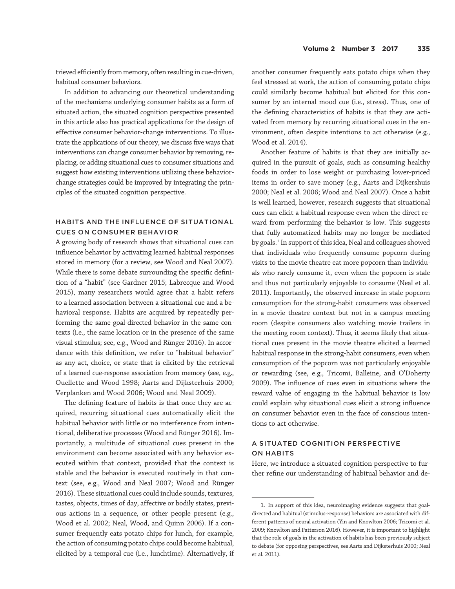trieved efficiently from memory, often resulting in cue-driven, habitual consumer behaviors.

In addition to advancing our theoretical understanding of the mechanisms underlying consumer habits as a form of situated action, the situated cognition perspective presented in this article also has practical applications for the design of effective consumer behavior-change interventions. To illustrate the applications of our theory, we discuss five ways that interventions can change consumer behavior by removing, replacing, or adding situational cues to consumer situations and suggest how existing interventions utilizing these behaviorchange strategies could be improved by integrating the principles of the situated cognition perspective.

## HABITS AND THE INFLUENCE OF SITUATIONAL CUES ON CONSUMER BEHAVIOR

A growing body of research shows that situational cues can influence behavior by activating learned habitual responses stored in memory (for a review, see Wood and Neal 2007). While there is some debate surrounding the specific definition of a "habit" (see Gardner 2015; Labrecque and Wood 2015), many researchers would agree that a habit refers to a learned association between a situational cue and a behavioral response. Habits are acquired by repeatedly performing the same goal-directed behavior in the same contexts (i.e., the same location or in the presence of the same visual stimulus; see, e.g., Wood and Rünger 2016). In accordance with this definition, we refer to "habitual behavior" as any act, choice, or state that is elicited by the retrieval of a learned cue-response association from memory (see, e.g., Ouellette and Wood 1998; Aarts and Dijksterhuis 2000; Verplanken and Wood 2006; Wood and Neal 2009).

The defining feature of habits is that once they are acquired, recurring situational cues automatically elicit the habitual behavior with little or no interference from intentional, deliberative processes (Wood and Rünger 2016). Importantly, a multitude of situational cues present in the environment can become associated with any behavior executed within that context, provided that the context is stable and the behavior is executed routinely in that context (see, e.g., Wood and Neal 2007; Wood and Rünger 2016). These situational cues could include sounds, textures, tastes, objects, times of day, affective or bodily states, previous actions in a sequence, or other people present (e.g., Wood et al. 2002; Neal, Wood, and Quinn 2006). If a consumer frequently eats potato chips for lunch, for example, the action of consuming potato chips could become habitual, elicited by a temporal cue (i.e., lunchtime). Alternatively, if another consumer frequently eats potato chips when they feel stressed at work, the action of consuming potato chips could similarly become habitual but elicited for this consumer by an internal mood cue (i.e., stress). Thus, one of the defining characteristics of habits is that they are activated from memory by recurring situational cues in the environment, often despite intentions to act otherwise (e.g., Wood et al. 2014).

Another feature of habits is that they are initially acquired in the pursuit of goals, such as consuming healthy foods in order to lose weight or purchasing lower-priced items in order to save money (e.g., Aarts and Dijkershuis 2000; Neal et al. 2006; Wood and Neal 2007). Once a habit is well learned, however, research suggests that situational cues can elicit a habitual response even when the direct reward from performing the behavior is low. This suggests that fully automatized habits may no longer be mediated by goals.1 In support of this idea, Neal and colleagues showed that individuals who frequently consume popcorn during visits to the movie theatre eat more popcorn than individuals who rarely consume it, even when the popcorn is stale and thus not particularly enjoyable to consume (Neal et al. 2011). Importantly, the observed increase in stale popcorn consumption for the strong-habit consumers was observed in a movie theatre context but not in a campus meeting room (despite consumers also watching movie trailers in the meeting room context). Thus, it seems likely that situational cues present in the movie theatre elicited a learned habitual response in the strong-habit consumers, even when consumption of the popcorn was not particularly enjoyable or rewarding (see, e.g., Tricomi, Balleine, and O'Doherty 2009). The influence of cues even in situations where the reward value of engaging in the habitual behavior is low could explain why situational cues elicit a strong influence on consumer behavior even in the face of conscious intentions to act otherwise.

## A SITUATED COGNITION PERSPECTIVE ON HABITS

Here, we introduce a situated cognition perspective to further refine our understanding of habitual behavior and de-

<sup>1.</sup> In support of this idea, neuroimaging evidence suggests that goaldirected and habitual (stimulus-response) behaviors are associated with different patterns of neural activation (Yin and Knowlton 2006; Tricomi et al. 2009; Knowlton and Patterson 2016). However, it is important to highlight that the role of goals in the activation of habits has been previously subject to debate (for opposing perspectives, see Aarts and Dijksterhuis 2000; Neal et al. 2011).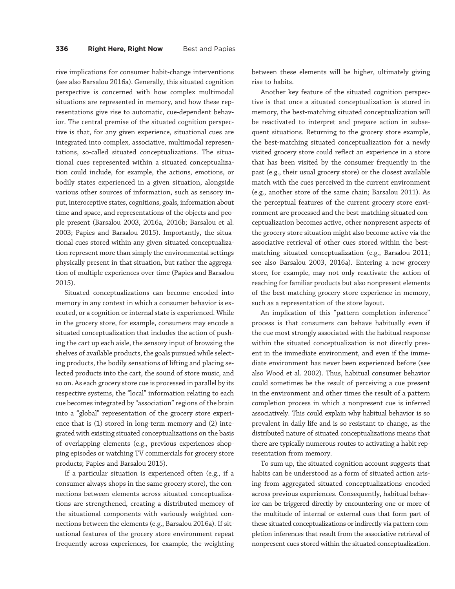rive implications for consumer habit-change interventions (see also Barsalou 2016a). Generally, this situated cognition perspective is concerned with how complex multimodal situations are represented in memory, and how these representations give rise to automatic, cue-dependent behavior. The central premise of the situated cognition perspective is that, for any given experience, situational cues are integrated into complex, associative, multimodal representations, so-called situated conceptualizations. The situational cues represented within a situated conceptualization could include, for example, the actions, emotions, or bodily states experienced in a given situation, alongside various other sources of information, such as sensory input, interoceptive states, cognitions, goals, information about time and space, and representations of the objects and people present (Barsalou 2003, 2016a, 2016b; Barsalou et al. 2003; Papies and Barsalou 2015). Importantly, the situational cues stored within any given situated conceptualization represent more than simply the environmental settings physically present in that situation, but rather the aggregation of multiple experiences over time (Papies and Barsalou 2015).

Situated conceptualizations can become encoded into memory in any context in which a consumer behavior is executed, or a cognition or internal state is experienced. While in the grocery store, for example, consumers may encode a situated conceptualization that includes the action of pushing the cart up each aisle, the sensory input of browsing the shelves of available products, the goals pursued while selecting products, the bodily sensations of lifting and placing selected products into the cart, the sound of store music, and so on. As each grocery store cue is processed in parallel by its respective systems, the "local" information relating to each cue becomes integrated by "association" regions of the brain into a "global" representation of the grocery store experience that is (1) stored in long-term memory and (2) integrated with existing situated conceptualizations on the basis of overlapping elements (e.g., previous experiences shopping episodes or watching TV commercials for grocery store products; Papies and Barsalou 2015).

If a particular situation is experienced often (e.g., if a consumer always shops in the same grocery store), the connections between elements across situated conceptualizations are strengthened, creating a distributed memory of the situational components with variously weighted connections between the elements (e.g., Barsalou 2016a). If situational features of the grocery store environment repeat frequently across experiences, for example, the weighting between these elements will be higher, ultimately giving rise to habits.

Another key feature of the situated cognition perspective is that once a situated conceptualization is stored in memory, the best-matching situated conceptualization will be reactivated to interpret and prepare action in subsequent situations. Returning to the grocery store example, the best-matching situated conceptualization for a newly visited grocery store could reflect an experience in a store that has been visited by the consumer frequently in the past (e.g., their usual grocery store) or the closest available match with the cues perceived in the current environment (e.g., another store of the same chain; Barsalou 2011). As the perceptual features of the current grocery store environment are processed and the best-matching situated conceptualization becomes active, other nonpresent aspects of the grocery store situation might also become active via the associative retrieval of other cues stored within the bestmatching situated conceptualization (e.g., Barsalou 2011; see also Barsalou 2003, 2016a). Entering a new grocery store, for example, may not only reactivate the action of reaching for familiar products but also nonpresent elements of the best-matching grocery store experience in memory, such as a representation of the store layout.

An implication of this "pattern completion inference" process is that consumers can behave habitually even if the cue most strongly associated with the habitual response within the situated conceptualization is not directly present in the immediate environment, and even if the immediate environment has never been experienced before (see also Wood et al. 2002). Thus, habitual consumer behavior could sometimes be the result of perceiving a cue present in the environment and other times the result of a pattern completion process in which a nonpresent cue is inferred associatively. This could explain why habitual behavior is so prevalent in daily life and is so resistant to change, as the distributed nature of situated conceptualizations means that there are typically numerous routes to activating a habit representation from memory.

To sum up, the situated cognition account suggests that habits can be understood as a form of situated action arising from aggregated situated conceptualizations encoded across previous experiences. Consequently, habitual behavior can be triggered directly by encountering one or more of the multitude of internal or external cues that form part of these situated conceptualizations or indirectly via pattern completion inferences that result from the associative retrieval of nonpresent cues stored within the situated conceptualization.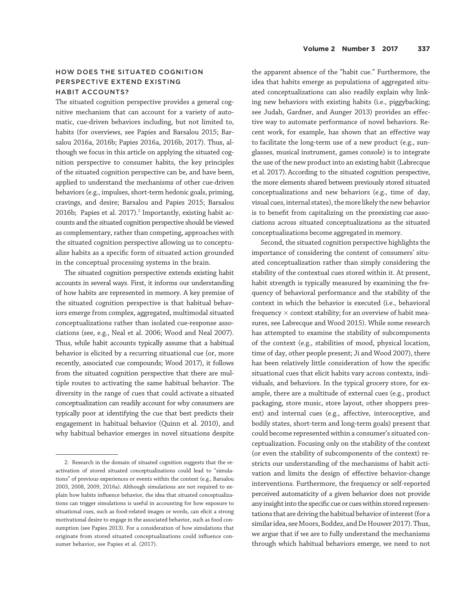# HOW DOES THE SITUATED COGNITION PERSPECTIVE EXTEND EXISTING HABIT ACCOUNTS?

The situated cognition perspective provides a general cognitive mechanism that can account for a variety of automatic, cue-driven behaviors including, but not limited to, habits (for overviews, see Papies and Barsalou 2015; Barsalou 2016a, 2016b; Papies 2016a, 2016b, 2017). Thus, although we focus in this article on applying the situated cognition perspective to consumer habits, the key principles of the situated cognition perspective can be, and have been, applied to understand the mechanisms of other cue-driven behaviors (e.g., impulses, short-term hedonic goals, priming, cravings, and desire; Barsalou and Papies 2015; Barsalou 2016b; Papies et al. 2017).<sup>2</sup> Importantly, existing habit accounts and the situated cognition perspective should be viewed as complementary, rather than competing, approaches with the situated cognition perspective allowing us to conceptualize habits as a specific form of situated action grounded in the conceptual processing systems in the brain.

The situated cognition perspective extends existing habit accounts in several ways. First, it informs our understanding of how habits are represented in memory. A key premise of the situated cognition perspective is that habitual behaviors emerge from complex, aggregated, multimodal situated conceptualizations rather than isolated cue-response associations (see, e.g., Neal et al. 2006; Wood and Neal 2007). Thus, while habit accounts typically assume that a habitual behavior is elicited by a recurring situational cue (or, more recently, associated cue compounds; Wood 2017), it follows from the situated cognition perspective that there are multiple routes to activating the same habitual behavior. The diversity in the range of cues that could activate a situated conceptualization can readily account for why consumers are typically poor at identifying the cue that best predicts their engagement in habitual behavior (Quinn et al. 2010), and why habitual behavior emerges in novel situations despite

the apparent absence of the "habit cue." Furthermore, the idea that habits emerge as populations of aggregated situated conceptualizations can also readily explain why linking new behaviors with existing habits (i.e., piggybacking; see Judah, Gardner, and Aunger 2013) provides an effective way to automate performance of novel behaviors. Recent work, for example, has shown that an effective way to facilitate the long-term use of a new product (e.g., sunglasses, musical instrument, games console) is to integrate the use of the new product into an existing habit (Labrecque et al. 2017). According to the situated cognition perspective, the more elements shared between previously stored situated conceptualizations and new behaviors (e.g., time of day, visual cues, internal states), the more likely the new behavior is to benefit from capitalizing on the preexisting cue associations across situated conceptualizations as the situated conceptualizations become aggregated in memory.

Second, the situated cognition perspective highlights the importance of considering the content of consumers' situated conceptualization rather than simply considering the stability of the contextual cues stored within it. At present, habit strength is typically measured by examining the frequency of behavioral performance and the stability of the context in which the behavior is executed (i.e., behavioral frequency  $\times$  context stability; for an overview of habit measures, see Labrecque and Wood 2015). While some research has attempted to examine the stability of subcomponents of the context (e.g., stabilities of mood, physical location, time of day, other people present; Ji and Wood 2007), there has been relatively little consideration of how the specific situational cues that elicit habits vary across contexts, individuals, and behaviors. In the typical grocery store, for example, there are a multitude of external cues (e.g., product packaging, store music, store layout, other shoppers present) and internal cues (e.g., affective, interoceptive, and bodily states, short-term and long-term goals) present that could become represented within a consumer's situated conceptualization. Focusing only on the stability of the context (or even the stability of subcomponents of the context) restricts our understanding of the mechanisms of habit activation and limits the design of effective behavior-change interventions. Furthermore, the frequency or self-reported perceived automaticity of a given behavior does not provide any insight into the specific cue or cues within stored representations that are driving the habitual behavior of interest (for a similar idea, see Moors, Boddez, and De Houwer 2017). Thus, we argue that if we are to fully understand the mechanisms through which habitual behaviors emerge, we need to not

<sup>2.</sup> Research in the domain of situated cognition suggests that the reactivation of stored situated conceptualizations could lead to "simulations" of previous experiences or events within the context (e.g., Barsalou 2003, 2008, 2009, 2016a). Although simulations are not required to explain how habits influence behavior, the idea that situated conceptualizations can trigger simulations is useful in accounting for how exposure to situational cues, such as food-related images or words, can elicit a strong motivational desire to engage in the associated behavior, such as food consumption (see Papies 2013). For a consideration of how simulations that originate from stored situated conceptualizations could influence consumer behavior, see Papies et al. (2017).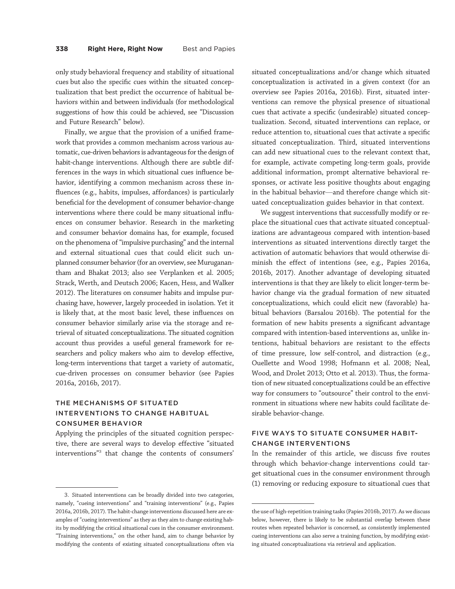only study behavioral frequency and stability of situational cues but also the specific cues within the situated conceptualization that best predict the occurrence of habitual behaviors within and between individuals (for methodological suggestions of how this could be achieved, see "Discussion and Future Research" below).

Finally, we argue that the provision of a unified framework that provides a common mechanism across various automatic, cue-driven behaviors is advantageous for the design of habit-change interventions. Although there are subtle differences in the ways in which situational cues influence behavior, identifying a common mechanism across these influences (e.g., habits, impulses, affordances) is particularly beneficial for the development of consumer behavior-change interventions where there could be many situational influences on consumer behavior. Research in the marketing and consumer behavior domains has, for example, focused on the phenomena of "impulsive purchasing" and the internal and external situational cues that could elicit such unplanned consumer behavior (for an overview, see Muruganantham and Bhakat 2013; also see Verplanken et al. 2005; Strack, Werth, and Deutsch 2006; Kacen, Hess, and Walker 2012). The literatures on consumer habits and impulse purchasing have, however, largely proceeded in isolation. Yet it is likely that, at the most basic level, these influences on consumer behavior similarly arise via the storage and retrieval of situated conceptualizations. The situated cognition account thus provides a useful general framework for researchers and policy makers who aim to develop effective, long-term interventions that target a variety of automatic, cue-driven processes on consumer behavior (see Papies 2016a, 2016b, 2017).

# THE MECHANISMS OF SITUATED INTERVENTIONS TO CHANGE HABITUAL CONSUMER BEHAVIOR

Applying the principles of the situated cognition perspective, there are several ways to develop effective "situated interventions" <sup>3</sup> that change the contents of consumers'

situated conceptualizations and/or change which situated conceptualization is activated in a given context (for an overview see Papies 2016a, 2016b). First, situated interventions can remove the physical presence of situational cues that activate a specific (undesirable) situated conceptualization. Second, situated interventions can replace, or reduce attention to, situational cues that activate a specific situated conceptualization. Third, situated interventions can add new situational cues to the relevant context that, for example, activate competing long-term goals, provide additional information, prompt alternative behavioral responses, or activate less positive thoughts about engaging in the habitual behavior—and therefore change which situated conceptualization guides behavior in that context.

We suggest interventions that successfully modify or replace the situational cues that activate situated conceptualizations are advantageous compared with intention-based interventions as situated interventions directly target the activation of automatic behaviors that would otherwise diminish the effect of intentions (see, e.g., Papies 2016a, 2016b, 2017). Another advantage of developing situated interventions is that they are likely to elicit longer-term behavior change via the gradual formation of new situated conceptualizations, which could elicit new (favorable) habitual behaviors (Barsalou 2016b). The potential for the formation of new habits presents a significant advantage compared with intention-based interventions as, unlike intentions, habitual behaviors are resistant to the effects of time pressure, low self-control, and distraction (e.g., Ouellette and Wood 1998; Hofmann et al. 2008; Neal, Wood, and Drolet 2013; Otto et al. 2013). Thus, the formation of new situated conceptualizations could be an effective way for consumers to "outsource" their control to the environment in situations where new habits could facilitate desirable behavior-change.

# FIVE WAYS TO SITUATE CONSUMER HABIT-CHANGE INTERVENTIONS

In the remainder of this article, we discuss five routes through which behavior-change interventions could target situational cues in the consumer environment through (1) removing or reducing exposure to situational cues that

<sup>3.</sup> Situated interventions can be broadly divided into two categories, namely, "cueing interventions" and "training interventions" (e.g., Papies 2016a, 2016b, 2017). The habit-change interventions discussed here are examples of "cueing interventions" as they as they aim to change existing habits by modifying the critical situational cues in the consumer environment. "Training interventions," on the other hand, aim to change behavior by modifying the contents of existing situated conceptualizations often via

the use of high-repetition training tasks (Papies 2016b, 2017). As we discuss below, however, there is likely to be substantial overlap between these routes when repeated behavior is concerned, as consistently implemented cueing interventions can also serve a training function, by modifying existing situated conceptualizations via retrieval and application.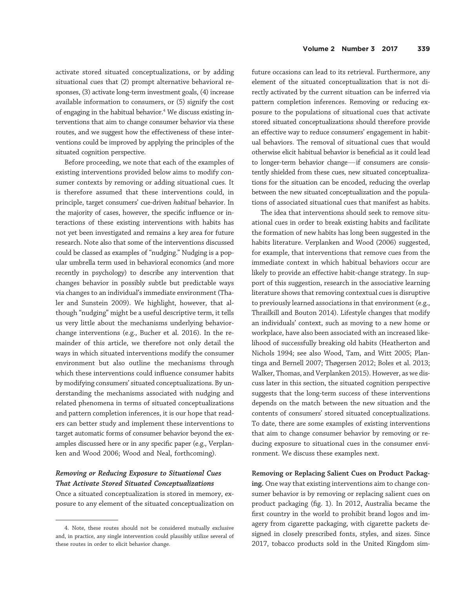activate stored situated conceptualizations, or by adding situational cues that (2) prompt alternative behavioral responses, (3) activate long-term investment goals, (4) increase available information to consumers, or (5) signify the cost of engaging in the habitual behavior.<sup>4</sup> We discuss existing interventions that aim to change consumer behavior via these routes, and we suggest how the effectiveness of these interventions could be improved by applying the principles of the situated cognition perspective.

Before proceeding, we note that each of the examples of existing interventions provided below aims to modify consumer contexts by removing or adding situational cues. It is therefore assumed that these interventions could, in principle, target consumers' cue-driven habitual behavior. In the majority of cases, however, the specific influence or interactions of these existing interventions with habits has not yet been investigated and remains a key area for future research. Note also that some of the interventions discussed could be classed as examples of "nudging." Nudging is a popular umbrella term used in behavioral economics (and more recently in psychology) to describe any intervention that changes behavior in possibly subtle but predictable ways via changes to an individual's immediate environment (Thaler and Sunstein 2009). We highlight, however, that although "nudging" might be a useful descriptive term, it tells us very little about the mechanisms underlying behaviorchange interventions (e.g., Bucher et al. 2016). In the remainder of this article, we therefore not only detail the ways in which situated interventions modify the consumer environment but also outline the mechanisms through which these interventions could influence consumer habits by modifying consumers'situated conceptualizations. By understanding the mechanisms associated with nudging and related phenomena in terms of situated conceptualizations and pattern completion inferences, it is our hope that readers can better study and implement these interventions to target automatic forms of consumer behavior beyond the examples discussed here or in any specific paper (e.g., Verplanken and Wood 2006; Wood and Neal, forthcoming).

## Removing or Reducing Exposure to Situational Cues That Activate Stored Situated Conceptualizations

Once a situated conceptualization is stored in memory, exposure to any element of the situated conceptualization on future occasions can lead to its retrieval. Furthermore, any element of the situated conceptualization that is not directly activated by the current situation can be inferred via pattern completion inferences. Removing or reducing exposure to the populations of situational cues that activate stored situated conceptualizations should therefore provide an effective way to reduce consumers' engagement in habitual behaviors. The removal of situational cues that would otherwise elicit habitual behavior is beneficial as it could lead to longer-term behavior change—if consumers are consistently shielded from these cues, new situated conceptualizations for the situation can be encoded, reducing the overlap between the new situated conceptualization and the populations of associated situational cues that manifest as habits.

The idea that interventions should seek to remove situational cues in order to break existing habits and facilitate the formation of new habits has long been suggested in the habits literature. Verplanken and Wood (2006) suggested, for example, that interventions that remove cues from the immediate context in which habitual behaviors occur are likely to provide an effective habit-change strategy. In support of this suggestion, research in the associative learning literature shows that removing contextual cues is disruptive to previously learned associations in that environment (e.g., Thrailkill and Bouton 2014). Lifestyle changes that modify an individuals' context, such as moving to a new home or workplace, have also been associated with an increased likelihood of successfully breaking old habits (Heatherton and Nichols 1994; see also Wood, Tam, and Witt 2005; Plantinga and Bernell 2007; Thøgersen 2012; Boles et al. 2013; Walker, Thomas, and Verplanken 2015). However, as we discuss later in this section, the situated cognition perspective suggests that the long-term success of these interventions depends on the match between the new situation and the contents of consumers' stored situated conceptualizations. To date, there are some examples of existing interventions that aim to change consumer behavior by removing or reducing exposure to situational cues in the consumer environment. We discuss these examples next.

Removing or Replacing Salient Cues on Product Packaging. One way that existing interventions aim to change consumer behavior is by removing or replacing salient cues on product packaging (fig. 1). In 2012, Australia became the first country in the world to prohibit brand logos and imagery from cigarette packaging, with cigarette packets designed in closely prescribed fonts, styles, and sizes. Since 2017, tobacco products sold in the United Kingdom sim-

<sup>4.</sup> Note, these routes should not be considered mutually exclusive and, in practice, any single intervention could plausibly utilize several of these routes in order to elicit behavior change.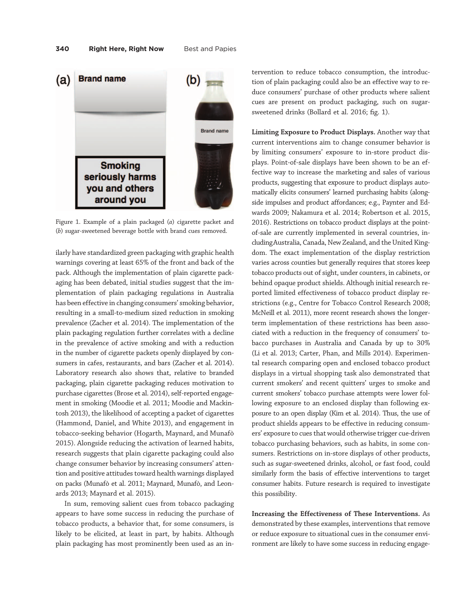#### 340 Right Here, Right Now Best and Papies



Figure 1. Example of a plain packaged (a) cigarette packet and (b) sugar-sweetened beverage bottle with brand cues removed.

ilarly have standardized green packaging with graphic health warnings covering at least 65% of the front and back of the pack. Although the implementation of plain cigarette packaging has been debated, initial studies suggest that the implementation of plain packaging regulations in Australia has been effective in changing consumers'smoking behavior, resulting in a small-to-medium sized reduction in smoking prevalence (Zacher et al. 2014). The implementation of the plain packaging regulation further correlates with a decline in the prevalence of active smoking and with a reduction in the number of cigarette packets openly displayed by consumers in cafes, restaurants, and bars (Zacher et al. 2014). Laboratory research also shows that, relative to branded packaging, plain cigarette packaging reduces motivation to purchase cigarettes (Brose et al. 2014), self-reported engagement in smoking (Moodie et al. 2011; Moodie and Mackintosh 2013), the likelihood of accepting a packet of cigarettes (Hammond, Daniel, and White 2013), and engagement in tobacco-seeking behavior (Hogarth, Maynard, and Munafò 2015). Alongside reducing the activation of learned habits, research suggests that plain cigarette packaging could also change consumer behavior by increasing consumers' attention and positive attitudes toward health warnings displayed on packs (Munafò et al. 2011; Maynard, Munafò, and Leonards 2013; Maynard et al. 2015).

In sum, removing salient cues from tobacco packaging appears to have some success in reducing the purchase of tobacco products, a behavior that, for some consumers, is likely to be elicited, at least in part, by habits. Although plain packaging has most prominently been used as an intervention to reduce tobacco consumption, the introduction of plain packaging could also be an effective way to reduce consumers' purchase of other products where salient cues are present on product packaging, such on sugarsweetened drinks (Bollard et al. 2016; fig. 1).

Limiting Exposure to Product Displays. Another way that current interventions aim to change consumer behavior is by limiting consumers' exposure to in-store product displays. Point-of-sale displays have been shown to be an effective way to increase the marketing and sales of various products, suggesting that exposure to product displays automatically elicits consumers' learned purchasing habits (alongside impulses and product affordances; e.g., Paynter and Edwards 2009; Nakamura et al. 2014; Robertson et al. 2015, 2016). Restrictions on tobacco product displays at the pointof-sale are currently implemented in several countries, includingAustralia, Canada, New Zealand, and the United Kingdom. The exact implementation of the display restriction varies across counties but generally requires that stores keep tobacco products out of sight, under counters, in cabinets, or behind opaque product shields. Although initial research reported limited effectiveness of tobacco product display restrictions (e.g., Centre for Tobacco Control Research 2008; McNeill et al. 2011), more recent research shows the longerterm implementation of these restrictions has been associated with a reduction in the frequency of consumers' tobacco purchases in Australia and Canada by up to 30% (Li et al. 2013; Carter, Phan, and Mills 2014). Experimental research comparing open and enclosed tobacco product displays in a virtual shopping task also demonstrated that current smokers' and recent quitters' urges to smoke and current smokers' tobacco purchase attempts were lower following exposure to an enclosed display than following exposure to an open display (Kim et al. 2014). Thus, the use of product shields appears to be effective in reducing consumers' exposure to cues that would otherwise trigger cue-driven tobacco purchasing behaviors, such as habits, in some consumers. Restrictions on in-store displays of other products, such as sugar-sweetened drinks, alcohol, or fast food, could similarly form the basis of effective interventions to target consumer habits. Future research is required to investigate this possibility.

Increasing the Effectiveness of These Interventions. As demonstrated by these examples, interventions that remove or reduce exposure to situational cues in the consumer environment are likely to have some success in reducing engage-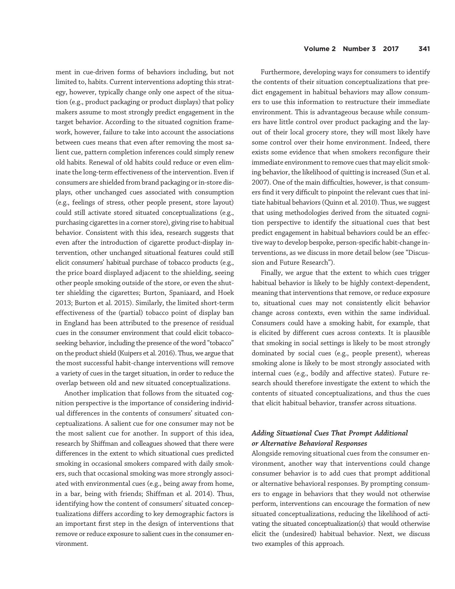ment in cue-driven forms of behaviors including, but not limited to, habits. Current interventions adopting this strategy, however, typically change only one aspect of the situation (e.g., product packaging or product displays) that policy makers assume to most strongly predict engagement in the target behavior. According to the situated cognition framework, however, failure to take into account the associations between cues means that even after removing the most salient cue, pattern completion inferences could simply renew old habits. Renewal of old habits could reduce or even eliminate the long-term effectiveness of the intervention. Even if consumers are shielded from brand packaging or in-store displays, other unchanged cues associated with consumption (e.g., feelings of stress, other people present, store layout) could still activate stored situated conceptualizations (e.g., purchasing cigarettes in a corner store), giving rise to habitual behavior. Consistent with this idea, research suggests that even after the introduction of cigarette product-display intervention, other unchanged situational features could still elicit consumers' habitual purchase of tobacco products (e.g., the price board displayed adjacent to the shielding, seeing other people smoking outside of the store, or even the shutter shielding the cigarettes; Burton, Spaniaard, and Hoek 2013; Burton et al. 2015). Similarly, the limited short-term effectiveness of the (partial) tobacco point of display ban in England has been attributed to the presence of residual cues in the consumer environment that could elicit tobaccoseeking behavior, including the presence of the word "tobacco" on the product shield (Kuipers et al. 2016). Thus, we argue that the most successful habit-change interventions will remove a variety of cues in the target situation, in order to reduce the overlap between old and new situated conceptualizations.

Another implication that follows from the situated cognition perspective is the importance of considering individual differences in the contents of consumers' situated conceptualizations. A salient cue for one consumer may not be the most salient cue for another. In support of this idea, research by Shiffman and colleagues showed that there were differences in the extent to which situational cues predicted smoking in occasional smokers compared with daily smokers, such that occasional smoking was more strongly associated with environmental cues (e.g., being away from home, in a bar, being with friends; Shiffman et al. 2014). Thus, identifying how the content of consumers' situated conceptualizations differs according to key demographic factors is an important first step in the design of interventions that remove or reduce exposure to salient cues in the consumer environment.

Furthermore, developing ways for consumers to identify the contents of their situation conceptualizations that predict engagement in habitual behaviors may allow consumers to use this information to restructure their immediate environment. This is advantageous because while consumers have little control over product packaging and the layout of their local grocery store, they will most likely have some control over their home environment. Indeed, there exists some evidence that when smokers reconfigure their immediate environment to remove cues that may elicit smoking behavior, the likelihood of quitting is increased (Sun et al. 2007). One of the main difficulties, however, is that consumers find it very difficult to pinpoint the relevant cues that initiate habitual behaviors (Quinn et al. 2010). Thus, we suggest that using methodologies derived from the situated cognition perspective to identify the situational cues that best predict engagement in habitual behaviors could be an effective way to develop bespoke, person-specific habit-change interventions, as we discuss in more detail below (see "Discussion and Future Research").

Finally, we argue that the extent to which cues trigger habitual behavior is likely to be highly context-dependent, meaning that interventions that remove, or reduce exposure to, situational cues may not consistently elicit behavior change across contexts, even within the same individual. Consumers could have a smoking habit, for example, that is elicited by different cues across contexts. It is plausible that smoking in social settings is likely to be most strongly dominated by social cues (e.g., people present), whereas smoking alone is likely to be most strongly associated with internal cues (e.g., bodily and affective states). Future research should therefore investigate the extent to which the contents of situated conceptualizations, and thus the cues that elicit habitual behavior, transfer across situations.

# Adding Situational Cues That Prompt Additional or Alternative Behavioral Responses

Alongside removing situational cues from the consumer environment, another way that interventions could change consumer behavior is to add cues that prompt additional or alternative behavioral responses. By prompting consumers to engage in behaviors that they would not otherwise perform, interventions can encourage the formation of new situated conceptualizations, reducing the likelihood of activating the situated conceptualization(s) that would otherwise elicit the (undesired) habitual behavior. Next, we discuss two examples of this approach.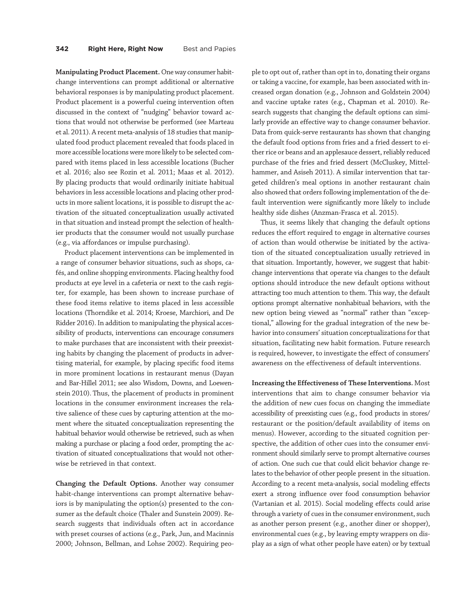Manipulating Product Placement. One way consumer habitchange interventions can prompt additional or alternative behavioral responses is by manipulating product placement. Product placement is a powerful cueing intervention often discussed in the context of "nudging" behavior toward actions that would not otherwise be performed (see Marteau et al. 2011). A recent meta-analysis of 18 studies that manipulated food product placement revealed that foods placed in more accessible locations were more likely to be selected compared with items placed in less accessible locations (Bucher et al. 2016; also see Rozin et al. 2011; Maas et al. 2012). By placing products that would ordinarily initiate habitual behaviors in less accessible locations and placing other products in more salient locations, it is possible to disrupt the activation of the situated conceptualization usually activated in that situation and instead prompt the selection of healthier products that the consumer would not usually purchase (e.g., via affordances or impulse purchasing).

Product placement interventions can be implemented in a range of consumer behavior situations, such as shops, cafés, and online shopping environments. Placing healthy food products at eye level in a cafeteria or next to the cash register, for example, has been shown to increase purchase of these food items relative to items placed in less accessible locations (Thorndike et al. 2014; Kroese, Marchiori, and De Ridder 2016). In addition to manipulating the physical accessibility of products, interventions can encourage consumers to make purchases that are inconsistent with their preexisting habits by changing the placement of products in advertising material, for example, by placing specific food items in more prominent locations in restaurant menus (Dayan and Bar-Hillel 2011; see also Wisdom, Downs, and Loewenstein 2010). Thus, the placement of products in prominent locations in the consumer environment increases the relative salience of these cues by capturing attention at the moment where the situated conceptualization representing the habitual behavior would otherwise be retrieved, such as when making a purchase or placing a food order, prompting the activation of situated conceptualizations that would not otherwise be retrieved in that context.

Changing the Default Options. Another way consumer habit-change interventions can prompt alternative behaviors is by manipulating the option(s) presented to the consumer as the default choice (Thaler and Sunstein 2009). Research suggests that individuals often act in accordance with preset courses of actions (e.g., Park, Jun, and Macinnis 2000; Johnson, Bellman, and Lohse 2002). Requiring people to opt out of, rather than opt in to, donating their organs or taking a vaccine, for example, has been associated with increased organ donation (e.g., Johnson and Goldstein 2004) and vaccine uptake rates (e.g., Chapman et al. 2010). Research suggests that changing the default options can similarly provide an effective way to change consumer behavior. Data from quick-serve restaurants has shown that changing the default food options from fries and a fried dessert to either rice or beans and an applesauce dessert, reliably reduced purchase of the fries and fried dessert (McCluskey, Mittelhammer, and Asiseh 2011). A similar intervention that targeted children's meal options in another restaurant chain also showed that orders following implementation of the default intervention were significantly more likely to include healthy side dishes (Anzman-Frasca et al. 2015).

Thus, it seems likely that changing the default options reduces the effort required to engage in alternative courses of action than would otherwise be initiated by the activation of the situated conceptualization usually retrieved in that situation. Importantly, however, we suggest that habitchange interventions that operate via changes to the default options should introduce the new default options without attracting too much attention to them. This way, the default options prompt alternative nonhabitual behaviors, with the new option being viewed as "normal" rather than "exceptional," allowing for the gradual integration of the new behavior into consumers'situation conceptualizations for that situation, facilitating new habit formation. Future research is required, however, to investigate the effect of consumers' awareness on the effectiveness of default interventions.

Increasing the Effectiveness of These Interventions. Most interventions that aim to change consumer behavior via the addition of new cues focus on changing the immediate accessibility of preexisting cues (e.g., food products in stores/ restaurant or the position/default availability of items on menus). However, according to the situated cognition perspective, the addition of other cues into the consumer environment should similarly serve to prompt alternative courses of action. One such cue that could elicit behavior change relates to the behavior of other people present in the situation. According to a recent meta-analysis, social modeling effects exert a strong influence over food consumption behavior (Vartanian et al. 2015). Social modeling effects could arise through a variety of cues in the consumer environment, such as another person present (e.g., another diner or shopper), environmental cues (e.g., by leaving empty wrappers on display as a sign of what other people have eaten) or by textual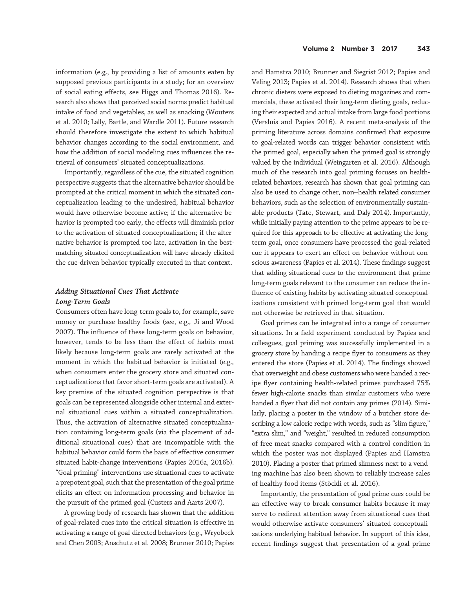information (e.g., by providing a list of amounts eaten by supposed previous participants in a study; for an overview of social eating effects, see Higgs and Thomas 2016). Research also shows that perceived social norms predict habitual intake of food and vegetables, as well as snacking (Wouters et al. 2010; Lally, Bartle, and Wardle 2011). Future research should therefore investigate the extent to which habitual behavior changes according to the social environment, and how the addition of social modeling cues influences the retrieval of consumers' situated conceptualizations.

Importantly, regardless of the cue, the situated cognition perspective suggests that the alternative behavior should be prompted at the critical moment in which the situated conceptualization leading to the undesired, habitual behavior would have otherwise become active; if the alternative behavior is prompted too early, the effects will diminish prior to the activation of situated conceptualization; if the alternative behavior is prompted too late, activation in the bestmatching situated conceptualization will have already elicited the cue-driven behavior typically executed in that context.

## Adding Situational Cues That Activate Long-Term Goals

Consumers often have long-term goals to, for example, save money or purchase healthy foods (see, e.g., Ji and Wood 2007). The influence of these long-term goals on behavior, however, tends to be less than the effect of habits most likely because long-term goals are rarely activated at the moment in which the habitual behavior is initiated (e.g., when consumers enter the grocery store and situated conceptualizations that favor short-term goals are activated). A key premise of the situated cognition perspective is that goals can be represented alongside other internal and external situational cues within a situated conceptualization. Thus, the activation of alternative situated conceptualization containing long-term goals (via the placement of additional situational cues) that are incompatible with the habitual behavior could form the basis of effective consumer situated habit-change interventions (Papies 2016a, 2016b). "Goal priming" interventions use situational cues to activate a prepotent goal, such that the presentation of the goal prime elicits an effect on information processing and behavior in the pursuit of the primed goal (Custers and Aarts 2007).

A growing body of research has shown that the addition of goal-related cues into the critical situation is effective in activating a range of goal-directed behaviors (e.g., Wryobeck and Chen 2003; Anschutz et al. 2008; Brunner 2010; Papies

and Hamstra 2010; Brunner and Siegrist 2012; Papies and Veling 2013; Papies et al. 2014). Research shows that when chronic dieters were exposed to dieting magazines and commercials, these activated their long-term dieting goals, reducing their expected and actual intake from large food portions (Versluis and Papies 2016). A recent meta-analysis of the priming literature across domains confirmed that exposure to goal-related words can trigger behavior consistent with the primed goal, especially when the primed goal is strongly valued by the individual (Weingarten et al. 2016). Although much of the research into goal priming focuses on healthrelated behaviors, research has shown that goal priming can also be used to change other, non–health related consumer behaviors, such as the selection of environmentally sustainable products (Tate, Stewart, and Daly 2014). Importantly, while initially paying attention to the prime appears to be required for this approach to be effective at activating the longterm goal, once consumers have processed the goal-related cue it appears to exert an effect on behavior without conscious awareness (Papies et al. 2014). These findings suggest that adding situational cues to the environment that prime long-term goals relevant to the consumer can reduce the influence of existing habits by activating situated conceptualizations consistent with primed long-term goal that would not otherwise be retrieved in that situation.

Goal primes can be integrated into a range of consumer situations. In a field experiment conducted by Papies and colleagues, goal priming was successfully implemented in a grocery store by handing a recipe flyer to consumers as they entered the store (Papies et al. 2014). The findings showed that overweight and obese customers who were handed a recipe flyer containing health-related primes purchased 75% fewer high-calorie snacks than similar customers who were handed a flyer that did not contain any primes (2014). Similarly, placing a poster in the window of a butcher store describing a low calorie recipe with words, such as "slim figure," "extra slim," and "weight," resulted in reduced consumption of free meat snacks compared with a control condition in which the poster was not displayed (Papies and Hamstra 2010). Placing a poster that primed slimness next to a vending machine has also been shown to reliably increase sales of healthy food items (Stöckli et al. 2016).

Importantly, the presentation of goal prime cues could be an effective way to break consumer habits because it may serve to redirect attention away from situational cues that would otherwise activate consumers' situated conceptualizations underlying habitual behavior. In support of this idea, recent findings suggest that presentation of a goal prime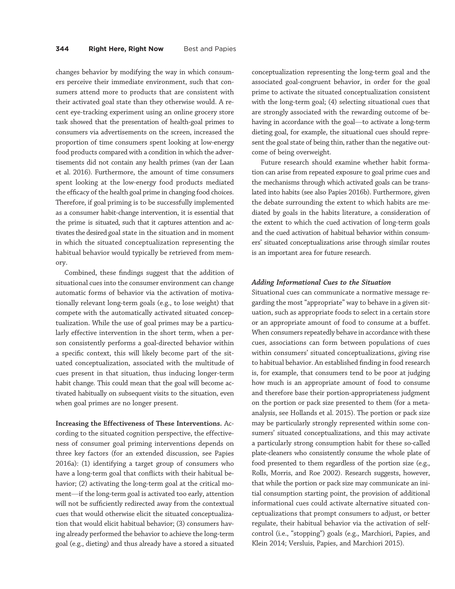changes behavior by modifying the way in which consumers perceive their immediate environment, such that consumers attend more to products that are consistent with their activated goal state than they otherwise would. A recent eye-tracking experiment using an online grocery store task showed that the presentation of health-goal primes to consumers via advertisements on the screen, increased the proportion of time consumers spent looking at low-energy food products compared with a condition in which the advertisements did not contain any health primes (van der Laan et al. 2016). Furthermore, the amount of time consumers spent looking at the low-energy food products mediated the efficacy of the health goal prime in changing food choices. Therefore, if goal priming is to be successfully implemented as a consumer habit-change intervention, it is essential that the prime is situated, such that it captures attention and activates the desired goal state in the situation and in moment in which the situated conceptualization representing the habitual behavior would typically be retrieved from memory.

Combined, these findings suggest that the addition of situational cues into the consumer environment can change automatic forms of behavior via the activation of motivationally relevant long-term goals (e.g., to lose weight) that compete with the automatically activated situated conceptualization. While the use of goal primes may be a particularly effective intervention in the short term, when a person consistently performs a goal-directed behavior within a specific context, this will likely become part of the situated conceptualization, associated with the multitude of cues present in that situation, thus inducing longer-term habit change. This could mean that the goal will become activated habitually on subsequent visits to the situation, even when goal primes are no longer present.

Increasing the Effectiveness of These Interventions. According to the situated cognition perspective, the effectiveness of consumer goal priming interventions depends on three key factors (for an extended discussion, see Papies 2016a): (1) identifying a target group of consumers who have a long-term goal that conflicts with their habitual behavior; (2) activating the long-term goal at the critical moment—if the long-term goal is activated too early, attention will not be sufficiently redirected away from the contextual cues that would otherwise elicit the situated conceptualization that would elicit habitual behavior; (3) consumers having already performed the behavior to achieve the long-term goal (e.g., dieting) and thus already have a stored a situated conceptualization representing the long-term goal and the associated goal-congruent behavior, in order for the goal prime to activate the situated conceptualization consistent with the long-term goal; (4) selecting situational cues that are strongly associated with the rewarding outcome of behaving in accordance with the goal—to activate a long-term dieting goal, for example, the situational cues should represent the goal state of being thin, rather than the negative outcome of being overweight.

Future research should examine whether habit formation can arise from repeated exposure to goal prime cues and the mechanisms through which activated goals can be translated into habits (see also Papies 2016b). Furthermore, given the debate surrounding the extent to which habits are mediated by goals in the habits literature, a consideration of the extent to which the cued activation of long-term goals and the cued activation of habitual behavior within consumers' situated conceptualizations arise through similar routes is an important area for future research.

## Adding Informational Cues to the Situation

Situational cues can communicate a normative message regarding the most "appropriate" way to behave in a given situation, such as appropriate foods to select in a certain store or an appropriate amount of food to consume at a buffet. When consumers repeatedly behave in accordance with these cues, associations can form between populations of cues within consumers' situated conceptualizations, giving rise to habitual behavior. An established finding in food research is, for example, that consumers tend to be poor at judging how much is an appropriate amount of food to consume and therefore base their portion-appropriateness judgment on the portion or pack size presented to them (for a metaanalysis, see Hollands et al. 2015). The portion or pack size may be particularly strongly represented within some consumers' situated conceptualizations, and this may activate a particularly strong consumption habit for these so-called plate-cleaners who consistently consume the whole plate of food presented to them regardless of the portion size (e.g., Rolls, Morris, and Roe 2002). Research suggests, however, that while the portion or pack size may communicate an initial consumption starting point, the provision of additional informational cues could activate alternative situated conceptualizations that prompt consumers to adjust, or better regulate, their habitual behavior via the activation of selfcontrol (i.e., "stopping") goals (e.g., Marchiori, Papies, and Klein 2014; Versluis, Papies, and Marchiori 2015).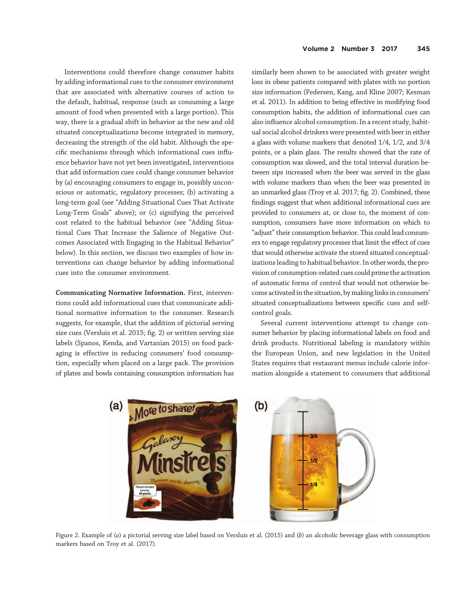Interventions could therefore change consumer habits by adding informational cues to the consumer environment that are associated with alternative courses of action to the default, habitual, response (such as consuming a large amount of food when presented with a large portion). This way, there is a gradual shift in behavior as the new and old situated conceptualizations become integrated in memory, decreasing the strength of the old habit. Although the specific mechanisms through which informational cues influence behavior have not yet been investigated, interventions that add information cues could change consumer behavior by (a) encouraging consumers to engage in, possibly unconscious or automatic, regulatory processes; (b) activating a long-term goal (see "Adding Situational Cues That Activate Long-Term Goals" above); or (c) signifying the perceived cost related to the habitual behavior (see "Adding Situational Cues That Increase the Salience of Negative Outcomes Associated with Engaging in the Habitual Behavior" below). In this section, we discuss two examples of how interventions can change behavior by adding informational cues into the consumer environment.

Communicating Normative Information. First, interventions could add informational cues that communicate additional normative information to the consumer. Research suggests, for example, that the addition of pictorial serving size cues (Versluis et al. 2015; fig. 2) or written serving size labels (Spanos, Kenda, and Vartanian 2015) on food packaging is effective in reducing consumers' food consumption, especially when placed on a large pack. The provision of plates and bowls containing consumption information has

similarly been shown to be associated with greater weight loss in obese patients compared with plates with no portion size information (Pedersen, Kang, and Kline 2007; Kesman et al. 2011). In addition to being effective in modifying food consumption habits, the addition of informational cues can also influence alcohol consumption. In a recent study, habitual social alcohol drinkers were presented with beer in either a glass with volume markers that denoted 1/4, 1/2, and 3/4 points, or a plain glass. The results showed that the rate of consumption was slowed, and the total interval duration between sips increased when the beer was served in the glass with volume markers than when the beer was presented in an unmarked glass (Troy et al. 2017; fig. 2). Combined, these findings suggest that when additional informational cues are provided to consumers at, or close to, the moment of consumption, consumers have more information on which to "adjust" their consumption behavior. This could lead consumers to engage regulatory processes that limit the effect of cues that would otherwise activate the stored situated conceptualizations leading to habitual behavior. In other words, the provision of consumption-related cues could prime the activation of automatic forms of control that would not otherwise become activated in the situation, by making links in consumers' situated conceptualizations between specific cues and selfcontrol goals.

Several current interventions attempt to change consumer behavior by placing informational labels on food and drink products. Nutritional labeling is mandatory within the European Union, and new legislation in the United States requires that restaurant menus include calorie information alongside a statement to consumers that additional



Figure 2. Example of  $(a)$  a pictorial serving size label based on Versluis et al. (2015) and  $(b)$  an alcoholic beverage glass with consumption markers based on Troy et al. (2017).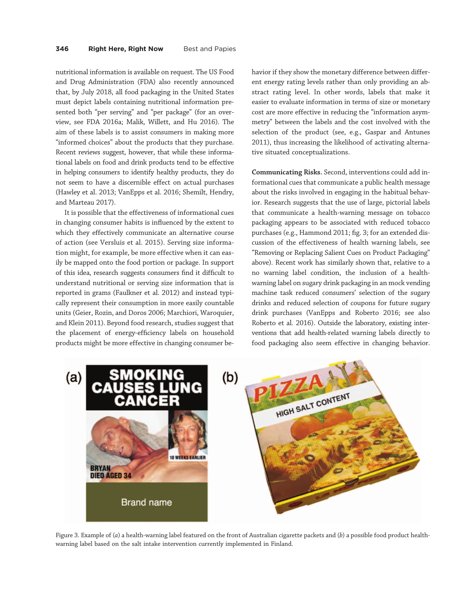nutritional information is available on request. The US Food and Drug Administration (FDA) also recently announced that, by July 2018, all food packaging in the United States must depict labels containing nutritional information presented both "per serving" and "per package" (for an overview, see FDA 2016a; Malik, Willett, and Hu 2016). The aim of these labels is to assist consumers in making more "informed choices" about the products that they purchase. Recent reviews suggest, however, that while these informational labels on food and drink products tend to be effective in helping consumers to identify healthy products, they do not seem to have a discernible effect on actual purchases (Hawley et al. 2013; VanEpps et al. 2016; Shemilt, Hendry, and Marteau 2017).

It is possible that the effectiveness of informational cues in changing consumer habits is influenced by the extent to which they effectively communicate an alternative course of action (see Versluis et al. 2015). Serving size information might, for example, be more effective when it can easily be mapped onto the food portion or package. In support of this idea, research suggests consumers find it difficult to understand nutritional or serving size information that is reported in grams (Faulkner et al. 2012) and instead typically represent their consumption in more easily countable units (Geier, Rozin, and Doros 2006; Marchiori, Waroquier, and Klein 2011). Beyond food research, studies suggest that the placement of energy-efficiency labels on household products might be more effective in changing consumer behavior if they show the monetary difference between different energy rating levels rather than only providing an abstract rating level. In other words, labels that make it easier to evaluate information in terms of size or monetary cost are more effective in reducing the "information asymmetry" between the labels and the cost involved with the selection of the product (see, e.g., Gaspar and Antunes 2011), thus increasing the likelihood of activating alternative situated conceptualizations.

Communicating Risks. Second, interventions could add informational cues that communicate a public health message about the risks involved in engaging in the habitual behavior. Research suggests that the use of large, pictorial labels that communicate a health-warning message on tobacco packaging appears to be associated with reduced tobacco purchases (e.g., Hammond 2011; fig. 3; for an extended discussion of the effectiveness of health warning labels, see "Removing or Replacing Salient Cues on Product Packaging" above). Recent work has similarly shown that, relative to a no warning label condition, the inclusion of a healthwarning label on sugary drink packaging in an mock vending machine task reduced consumers' selection of the sugary drinks and reduced selection of coupons for future sugary drink purchases (VanEpps and Roberto 2016; see also Roberto et al. 2016). Outside the laboratory, existing interventions that add health-related warning labels directly to food packaging also seem effective in changing behavior.



Figure 3. Example of  $(a)$  a health-warning label featured on the front of Australian cigarette packets and  $(b)$  a possible food product healthwarning label based on the salt intake intervention currently implemented in Finland.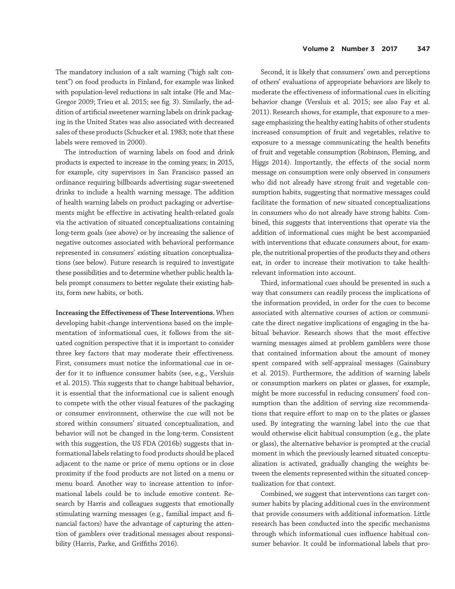The mandatory inclusion of a salt warning ("high salt content") on food products in Finland, for example was linked with population-level reductions in salt intake (He and Mac-Gregor 2009; Trieu et al. 2015; see fig. 3). Similarly, the addition of artificial sweetener warning labels on drink packaging in the United States was also associated with decreased sales of these products (Schucker et al. 1983; note that these labels were removed in 2000).

The introduction of warning labels on food and drink products is expected to increase in the coming years; in 2015, for example, city supervisors in San Francisco passed an ordinance requiring billboards advertising sugar-sweetened drinks to include a health warning message. The addition of health warning labels on product packaging or advertisements might be effective in activating health-related goals via the activation of situated conceptualizations containing long-term goals (see above) or by increasing the salience of negative outcomes associated with behavioral performance represented in consumers' existing situation conceptualizations (see below). Future research is required to investigate these possibilities and to determine whether public health labels prompt consumers to better regulate their existing habits, form new habits, or both.

Increasing the Effectiveness of These Interventions. When developing habit-change interventions based on the implementation of informational cues, it follows from the situated cognition perspective that it is important to consider three key factors that may moderate their effectiveness. First, consumers must notice the informational cue in order for it to influence consumer habits (see, e.g., Versluis et al. 2015). This suggests that to change habitual behavior, it is essential that the informational cue is salient enough to compete with the other visual features of the packaging or consumer environment, otherwise the cue will not be stored within consumers' situated conceptualization, and behavior will not be changed in the long-term. Consistent with this suggestion, the US FDA (2016b) suggests that informational labels relating to food products should be placed adjacent to the name or price of menu options or in close proximity if the food products are not listed on a menu or menu board. Another way to increase attention to informational labels could be to include emotive content. Research by Harris and colleagues suggests that emotionally stimulating warning messages (e.g., familial impact and financial factors) have the advantage of capturing the attention of gamblers over traditional messages about responsibility (Harris, Parke, and Griffiths 2016).

Second, it is likely that consumers' own and perceptions of others' evaluations of appropriate behaviors are likely to moderate the effectiveness of informational cues in eliciting behavior change (Versluis et al. 2015; see also Fay et al. 2011). Research shows, for example, that exposure to a message emphasizing the healthy eating habits of other students increased consumption of fruit and vegetables, relative to exposure to a message communicating the health benefits of fruit and vegetable consumption (Robinson, Fleming, and Higgs 2014). Importantly, the effects of the social norm message on consumption were only observed in consumers who did not already have strong fruit and vegetable consumption habits, suggesting that normative messages could facilitate the formation of new situated conceptualizations in consumers who do not already have strong habits. Combined, this suggests that interventions that operate via the addition of informational cues might be best accompanied with interventions that educate consumers about, for example, the nutritional properties of the products they and others eat, in order to increase their motivation to take healthrelevant information into account.

Third, informational cues should be presented in such a way that consumers can readily process the implications of the information provided, in order for the cues to become associated with alternative courses of action or communicate the direct negative implications of engaging in the habitual behavior. Research shows that the most effective warning messages aimed at problem gamblers were those that contained information about the amount of money spent compared with self-appraisal messages (Gainsbury et al. 2015). Furthermore, the addition of warning labels or consumption markers on plates or glasses, for example, might be more successful in reducing consumers' food consumption than the addition of serving size recommendations that require effort to map on to the plates or glasses used. By integrating the warning label into the cue that would otherwise elicit habitual consumption (e.g., the plate or glass), the alternative behavior is prompted at the crucial moment in which the previously learned situated conceptualization is activated, gradually changing the weights between the elements represented within the situated conceptualization for that context.

Combined, we suggest that interventions can target consumer habits by placing additional cues in the environment that provide consumers with additional information. Little research has been conducted into the specific mechanisms through which informational cues influence habitual consumer behavior. It could be informational labels that pro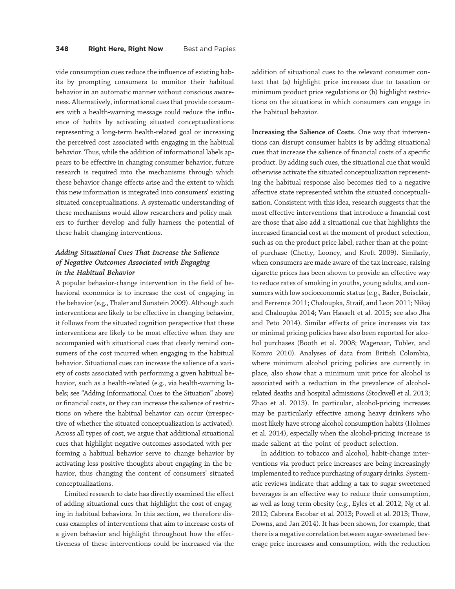vide consumption cues reduce the influence of existing habits by prompting consumers to monitor their habitual behavior in an automatic manner without conscious awareness. Alternatively, informational cues that provide consumers with a health-warning message could reduce the influence of habits by activating situated conceptualizations representing a long-term health-related goal or increasing the perceived cost associated with engaging in the habitual behavior. Thus, while the addition of informational labels appears to be effective in changing consumer behavior, future research is required into the mechanisms through which these behavior change effects arise and the extent to which this new information is integrated into consumers' existing situated conceptualizations. A systematic understanding of these mechanisms would allow researchers and policy makers to further develop and fully harness the potential of these habit-changing interventions.

# Adding Situational Cues That Increase the Salience of Negative Outcomes Associated with Engaging in the Habitual Behavior

A popular behavior-change intervention in the field of behavioral economics is to increase the cost of engaging in the behavior (e.g., Thaler and Sunstein 2009). Although such interventions are likely to be effective in changing behavior, it follows from the situated cognition perspective that these interventions are likely to be most effective when they are accompanied with situational cues that clearly remind consumers of the cost incurred when engaging in the habitual behavior. Situational cues can increase the salience of a variety of costs associated with performing a given habitual behavior, such as a health-related (e.g., via health-warning labels; see "Adding Informational Cues to the Situation" above) or financial costs, or they can increase the salience of restrictions on where the habitual behavior can occur (irrespective of whether the situated conceptualization is activated). Across all types of cost, we argue that additional situational cues that highlight negative outcomes associated with performing a habitual behavior serve to change behavior by activating less positive thoughts about engaging in the behavior, thus changing the content of consumers' situated conceptualizations.

Limited research to date has directly examined the effect of adding situational cues that highlight the cost of engaging in habitual behaviors. In this section, we therefore discuss examples of interventions that aim to increase costs of a given behavior and highlight throughout how the effectiveness of these interventions could be increased via the addition of situational cues to the relevant consumer context that (a) highlight price increases due to taxation or minimum product price regulations or (b) highlight restrictions on the situations in which consumers can engage in the habitual behavior.

Increasing the Salience of Costs. One way that interventions can disrupt consumer habits is by adding situational cues that increase the salience of financial costs of a specific product. By adding such cues, the situational cue that would otherwise activate the situated conceptualization representing the habitual response also becomes tied to a negative affective state represented within the situated conceptualization. Consistent with this idea, research suggests that the most effective interventions that introduce a financial cost are those that also add a situational cue that highlights the increased financial cost at the moment of product selection, such as on the product price label, rather than at the pointof-purchase (Chetty, Looney, and Kroft 2009). Similarly, when consumers are made aware of the tax increase, raising cigarette prices has been shown to provide an effective way to reduce rates of smoking in youths, young adults, and consumers with low socioeconomic status (e.g., Bader, Boisclair, and Ferrence 2011; Chaloupka, Straif, and Leon 2011; Nikaj and Chaloupka 2014; Van Hasselt et al. 2015; see also Jha and Peto 2014). Similar effects of price increases via tax or minimal pricing policies have also been reported for alcohol purchases (Booth et al. 2008; Wagenaar, Tobler, and Komro 2010). Analyses of data from British Colombia, where minimum alcohol pricing policies are currently in place, also show that a minimum unit price for alcohol is associated with a reduction in the prevalence of alcoholrelated deaths and hospital admissions (Stockwell et al. 2013; Zhao et al. 2013). In particular, alcohol-pricing increases may be particularly effective among heavy drinkers who most likely have strong alcohol consumption habits (Holmes et al. 2014), especially when the alcohol-pricing increase is made salient at the point of product selection.

In addition to tobacco and alcohol, habit-change interventions via product price increases are being increasingly implemented to reduce purchasing of sugary drinks. Systematic reviews indicate that adding a tax to sugar-sweetened beverages is an effective way to reduce their consumption, as well as long-term obesity (e.g., Eyles et al. 2012; Ng et al. 2012; Cabrera Escobar et al. 2013; Powell et al. 2013; Thow, Downs, and Jan 2014). It has been shown, for example, that there is a negative correlation between sugar-sweetened beverage price increases and consumption, with the reduction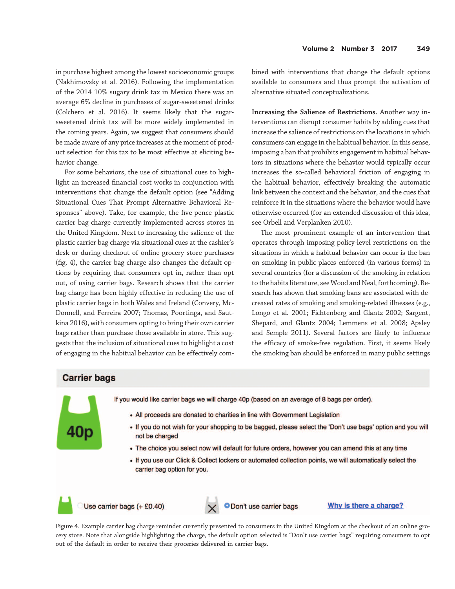in purchase highest among the lowest socioeconomic groups (Nakhimovsky et al. 2016). Following the implementation of the 2014 10% sugary drink tax in Mexico there was an average 6% decline in purchases of sugar-sweetened drinks (Colchero et al. 2016). It seems likely that the sugarsweetened drink tax will be more widely implemented in the coming years. Again, we suggest that consumers should be made aware of any price increases at the moment of product selection for this tax to be most effective at eliciting behavior change.

For some behaviors, the use of situational cues to highlight an increased financial cost works in conjunction with interventions that change the default option (see "Adding Situational Cues That Prompt Alternative Behavioral Responses" above). Take, for example, the five-pence plastic carrier bag charge currently implemented across stores in the United Kingdom. Next to increasing the salience of the plastic carrier bag charge via situational cues at the cashier's desk or during checkout of online grocery store purchases (fig. 4), the carrier bag charge also changes the default options by requiring that consumers opt in, rather than opt out, of using carrier bags. Research shows that the carrier bag charge has been highly effective in reducing the use of plastic carrier bags in both Wales and Ireland (Convery, Mc-Donnell, and Ferreira 2007; Thomas, Poortinga, and Sautkina 2016), with consumers opting to bring their own carrier bags rather than purchase those available in store. This suggests that the inclusion of situational cues to highlight a cost of engaging in the habitual behavior can be effectively combined with interventions that change the default options available to consumers and thus prompt the activation of alternative situated conceptualizations.

Increasing the Salience of Restrictions. Another way interventions can disrupt consumer habits by adding cues that increase the salience of restrictions on the locations in which consumers can engage in the habitual behavior. In this sense, imposing a ban that prohibits engagement in habitual behaviors in situations where the behavior would typically occur increases the so-called behavioral friction of engaging in the habitual behavior, effectively breaking the automatic link between the context and the behavior, and the cues that reinforce it in the situations where the behavior would have otherwise occurred (for an extended discussion of this idea, see Orbell and Verplanken 2010).

The most prominent example of an intervention that operates through imposing policy-level restrictions on the situations in which a habitual behavior can occur is the ban on smoking in public places enforced (in various forms) in several countries (for a discussion of the smoking in relation to the habits literature, see Wood and Neal, forthcoming). Research has shown that smoking bans are associated with decreased rates of smoking and smoking-related illnesses (e.g., Longo et al. 2001; Fichtenberg and Glantz 2002; Sargent, Shepard, and Glantz 2004; Lemmens et al. 2008; Apsley and Semple 2011). Several factors are likely to influence the efficacy of smoke-free regulation. First, it seems likely the smoking ban should be enforced in many public settings

# **Carrier bags**



If you would like carrier bags we will charge 40p (based on an average of 8 bags per order).

- All proceeds are donated to charities in line with Government Legislation
- If you do not wish for your shopping to be bagged, please select the 'Don't use bags' option and you will not be charged
- The choice you select now will default for future orders, however you can amend this at any time
- If you use our Click & Collect lockers or automated collection points, we will automatically select the carrier bag option for you.

Use carrier bags (+ £0.40)



O Don't use carrier bags

Why is there a charge?

Figure 4. Example carrier bag charge reminder currently presented to consumers in the United Kingdom at the checkout of an online grocery store. Note that alongside highlighting the charge, the default option selected is "Don't use carrier bags" requiring consumers to opt out of the default in order to receive their groceries delivered in carrier bags.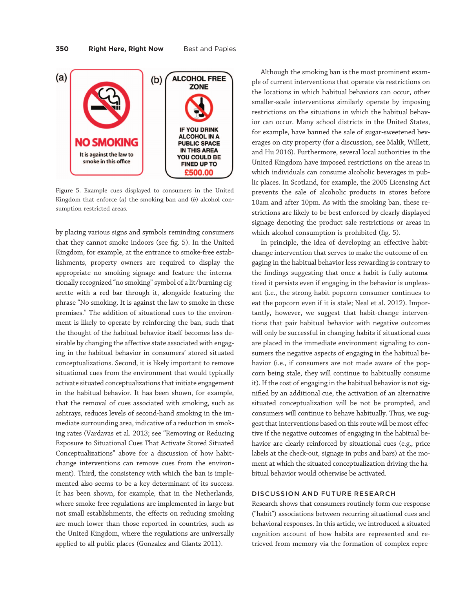

Figure 5. Example cues displayed to consumers in the United Kingdom that enforce  $(a)$  the smoking ban and  $(b)$  alcohol consumption restricted areas.

by placing various signs and symbols reminding consumers that they cannot smoke indoors (see fig. 5). In the United Kingdom, for example, at the entrance to smoke-free establishments, property owners are required to display the appropriate no smoking signage and feature the internationally recognized "no smoking"symbol of a lit/burning cigarette with a red bar through it, alongside featuring the phrase "No smoking. It is against the law to smoke in these premises." The addition of situational cues to the environment is likely to operate by reinforcing the ban, such that the thought of the habitual behavior itself becomes less desirable by changing the affective state associated with engaging in the habitual behavior in consumers' stored situated conceptualizations. Second, it is likely important to remove situational cues from the environment that would typically activate situated conceptualizations that initiate engagement in the habitual behavior. It has been shown, for example, that the removal of cues associated with smoking, such as ashtrays, reduces levels of second-hand smoking in the immediate surrounding area, indicative of a reduction in smoking rates (Vardavas et al. 2013; see "Removing or Reducing Exposure to Situational Cues That Activate Stored Situated Conceptualizations" above for a discussion of how habitchange interventions can remove cues from the environment). Third, the consistency with which the ban is implemented also seems to be a key determinant of its success. It has been shown, for example, that in the Netherlands, where smoke-free regulations are implemented in large but not small establishments, the effects on reducing smoking are much lower than those reported in countries, such as the United Kingdom, where the regulations are universally applied to all public places (Gonzalez and Glantz 2011).

Although the smoking ban is the most prominent example of current interventions that operate via restrictions on the locations in which habitual behaviors can occur, other smaller-scale interventions similarly operate by imposing restrictions on the situations in which the habitual behavior can occur. Many school districts in the United States, for example, have banned the sale of sugar-sweetened beverages on city property (for a discussion, see Malik, Willett, and Hu 2016). Furthermore, several local authorities in the United Kingdom have imposed restrictions on the areas in which individuals can consume alcoholic beverages in public places. In Scotland, for example, the 2005 Licensing Act prevents the sale of alcoholic products in stores before 10am and after 10pm. As with the smoking ban, these restrictions are likely to be best enforced by clearly displayed signage denoting the product sale restrictions or areas in which alcohol consumption is prohibited (fig. 5).

In principle, the idea of developing an effective habitchange intervention that serves to make the outcome of engaging in the habitual behavior less rewarding is contrary to the findings suggesting that once a habit is fully automatized it persists even if engaging in the behavior is unpleasant (i.e., the strong-habit popcorn consumer continues to eat the popcorn even if it is stale; Neal et al. 2012). Importantly, however, we suggest that habit-change interventions that pair habitual behavior with negative outcomes will only be successful in changing habits if situational cues are placed in the immediate environment signaling to consumers the negative aspects of engaging in the habitual behavior (i.e., if consumers are not made aware of the popcorn being stale, they will continue to habitually consume it). If the cost of engaging in the habitual behavior is not signified by an additional cue, the activation of an alternative situated conceptualization will be not be prompted, and consumers will continue to behave habitually. Thus, we suggest that interventions based on this route will be most effective if the negative outcomes of engaging in the habitual behavior are clearly reinforced by situational cues (e.g., price labels at the check-out, signage in pubs and bars) at the moment at which the situated conceptualization driving the habitual behavior would otherwise be activated.

### DISCUSSION AND FUTURE RESEARCH

Research shows that consumers routinely form cue-response ("habit") associations between recurring situational cues and behavioral responses. In this article, we introduced a situated cognition account of how habits are represented and retrieved from memory via the formation of complex repre-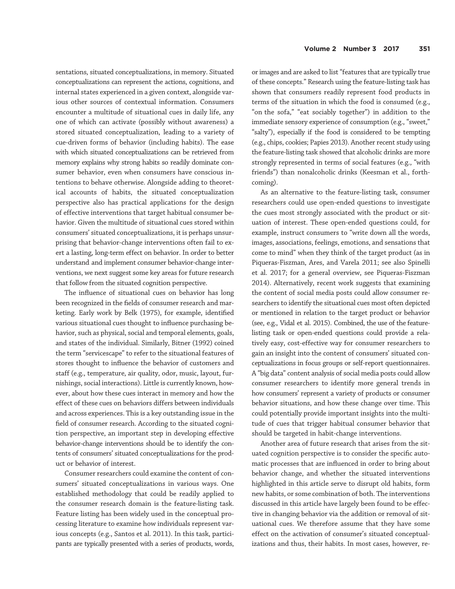sentations, situated conceptualizations, in memory. Situated conceptualizations can represent the actions, cognitions, and internal states experienced in a given context, alongside various other sources of contextual information. Consumers encounter a multitude of situational cues in daily life, any one of which can activate (possibly without awareness) a stored situated conceptualization, leading to a variety of cue-driven forms of behavior (including habits). The ease with which situated conceptualizations can be retrieved from memory explains why strong habits so readily dominate consumer behavior, even when consumers have conscious intentions to behave otherwise. Alongside adding to theoretical accounts of habits, the situated conceptualization perspective also has practical applications for the design of effective interventions that target habitual consumer behavior. Given the multitude of situational cues stored within consumers'situated conceptualizations, it is perhaps unsurprising that behavior-change interventions often fail to exert a lasting, long-term effect on behavior. In order to better understand and implement consumer behavior-change interventions, we next suggest some key areas for future research that follow from the situated cognition perspective.

The influence of situational cues on behavior has long been recognized in the fields of consumer research and marketing. Early work by Belk (1975), for example, identified various situational cues thought to influence purchasing behavior, such as physical, social and temporal elements, goals, and states of the individual. Similarly, Bitner (1992) coined the term "servicescape" to refer to the situational features of stores thought to influence the behavior of customers and staff (e.g., temperature, air quality, odor, music, layout, furnishings, social interactions). Little is currently known, however, about how these cues interact in memory and how the effect of these cues on behaviors differs between individuals and across experiences. This is a key outstanding issue in the field of consumer research. According to the situated cognition perspective, an important step in developing effective behavior-change interventions should be to identify the contents of consumers' situated conceptualizations for the product or behavior of interest.

Consumer researchers could examine the content of consumers' situated conceptualizations in various ways. One established methodology that could be readily applied to the consumer research domain is the feature-listing task. Feature listing has been widely used in the conceptual processing literature to examine how individuals represent various concepts (e.g., Santos et al. 2011). In this task, participants are typically presented with a series of products, words,

or images and are asked to list "features that are typically true of these concepts." Research using the feature-listing task has shown that consumers readily represent food products in terms of the situation in which the food is consumed (e.g., "on the sofa," "eat sociably together") in addition to the immediate sensory experience of consumption (e.g., "sweet," "salty"), especially if the food is considered to be tempting (e.g., chips, cookies; Papies 2013). Another recent study using the feature-listing task showed that alcoholic drinks are more strongly represented in terms of social features (e.g., "with friends") than nonalcoholic drinks (Keesman et al., forthcoming).

As an alternative to the feature-listing task, consumer researchers could use open-ended questions to investigate the cues most strongly associated with the product or situation of interest. These open-ended questions could, for example, instruct consumers to "write down all the words, images, associations, feelings, emotions, and sensations that come to mind" when they think of the target product (as in Piqueras-Fiszman, Ares, and Varela 2011; see also Spinelli et al. 2017; for a general overview, see Piqueras-Fiszman 2014). Alternatively, recent work suggests that examining the content of social media posts could allow consumer researchers to identify the situational cues most often depicted or mentioned in relation to the target product or behavior (see, e.g., Vidal et al. 2015). Combined, the use of the featurelisting task or open-ended questions could provide a relatively easy, cost-effective way for consumer researchers to gain an insight into the content of consumers' situated conceptualizations in focus groups or self-report questionnaires. A "big data" content analysis of social media posts could allow consumer researchers to identify more general trends in how consumers' represent a variety of products or consumer behavior situations, and how these change over time. This could potentially provide important insights into the multitude of cues that trigger habitual consumer behavior that should be targeted in habit-change interventions.

Another area of future research that arises from the situated cognition perspective is to consider the specific automatic processes that are influenced in order to bring about behavior change, and whether the situated interventions highlighted in this article serve to disrupt old habits, form new habits, or some combination of both. The interventions discussed in this article have largely been found to be effective in changing behavior via the addition or removal of situational cues. We therefore assume that they have some effect on the activation of consumer's situated conceptualizations and thus, their habits. In most cases, however, re-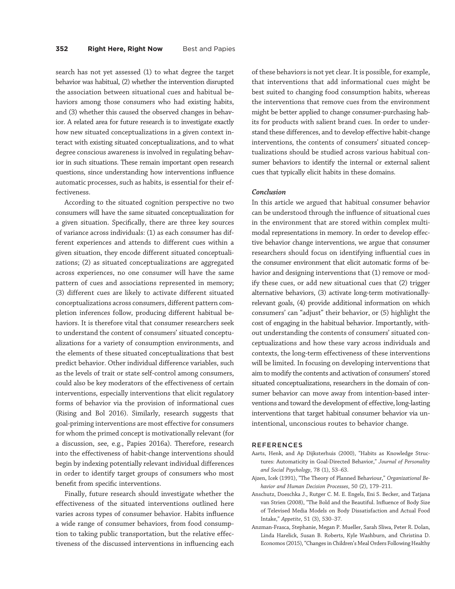search has not yet assessed (1) to what degree the target behavior was habitual, (2) whether the intervention disrupted the association between situational cues and habitual behaviors among those consumers who had existing habits, and (3) whether this caused the observed changes in behavior. A related area for future research is to investigate exactly how new situated conceptualizations in a given context interact with existing situated conceptualizations, and to what degree conscious awareness is involved in regulating behavior in such situations. These remain important open research questions, since understanding how interventions influence automatic processes, such as habits, is essential for their effectiveness.

According to the situated cognition perspective no two consumers will have the same situated conceptualization for a given situation. Specifically, there are three key sources of variance across individuals: (1) as each consumer has different experiences and attends to different cues within a given situation, they encode different situated conceptualizations; (2) as situated conceptualizations are aggregated across experiences, no one consumer will have the same pattern of cues and associations represented in memory; (3) different cues are likely to activate different situated conceptualizations across consumers, different pattern completion inferences follow, producing different habitual behaviors. It is therefore vital that consumer researchers seek to understand the content of consumers' situated conceptualizations for a variety of consumption environments, and the elements of these situated conceptualizations that best predict behavior. Other individual difference variables, such as the levels of trait or state self-control among consumers, could also be key moderators of the effectiveness of certain interventions, especially interventions that elicit regulatory forms of behavior via the provision of informational cues (Rising and Bol 2016). Similarly, research suggests that goal-priming interventions are most effective for consumers for whom the primed concept is motivationally relevant (for a discussion, see, e.g., Papies 2016a). Therefore, research into the effectiveness of habit-change interventions should begin by indexing potentially relevant individual differences in order to identify target groups of consumers who most benefit from specific interventions.

Finally, future research should investigate whether the effectiveness of the situated interventions outlined here varies across types of consumer behavior. Habits influence a wide range of consumer behaviors, from food consumption to taking public transportation, but the relative effectiveness of the discussed interventions in influencing each

of these behaviors is not yet clear. It is possible, for example, that interventions that add informational cues might be best suited to changing food consumption habits, whereas the interventions that remove cues from the environment might be better applied to change consumer-purchasing habits for products with salient brand cues. In order to understand these differences, and to develop effective habit-change interventions, the contents of consumers' situated conceptualizations should be studied across various habitual consumer behaviors to identify the internal or external salient cues that typically elicit habits in these domains.

#### Conclusion

In this article we argued that habitual consumer behavior can be understood through the influence of situational cues in the environment that are stored within complex multimodal representations in memory. In order to develop effective behavior change interventions, we argue that consumer researchers should focus on identifying influential cues in the consumer environment that elicit automatic forms of behavior and designing interventions that (1) remove or modify these cues, or add new situational cues that (2) trigger alternative behaviors, (3) activate long-term motivationallyrelevant goals, (4) provide additional information on which consumers' can "adjust" their behavior, or (5) highlight the cost of engaging in the habitual behavior. Importantly, without understanding the contents of consumers' situated conceptualizations and how these vary across individuals and contexts, the long-term effectiveness of these interventions will be limited. In focusing on developing interventions that aim to modify the contents and activation of consumers' stored situated conceptualizations, researchers in the domain of consumer behavior can move away from intention-based interventions and toward the development of effective, long-lasting interventions that target habitual consumer behavior via unintentional, unconscious routes to behavior change.

#### REFERENCES

- Aarts, Henk, and Ap Dijksterhuis (2000), "Habits as Knowledge Structures: Automaticity in Goal-Directed Behavior," Journal of Personality and Social Psychology, 78 (1), 53–63.
- Ajzen, Icek (1991), "The Theory of Planned Behaviour," Organizational Behavior and Human Decision Processes, 50 (2), 179–211.
- Anschutz, Doeschka J., Rutger C. M. E. Engels, Eni S. Becker, and Tatjana van Strien (2008), "The Bold and the Beautiful. Influence of Body Size of Televised Media Models on Body Dissatisfaction and Actual Food Intake," Appetite, 51 (3), 530–37.
- Anzman-Frasca, Stephanie, Megan P. Mueller, Sarah Sliwa, Peter R. Dolan, Linda Harelick, Susan B. Roberts, Kyle Washburn, and Christina D. Economos (2015),"Changes in Children's Meal Orders Following Healthy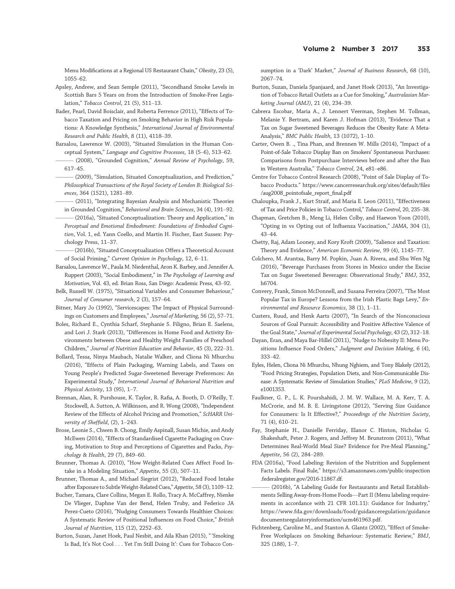Menu Modifications at a Regional US Restaurant Chain," Obesity, 23 (5), 1055–62.

Apsley, Andrew, and Sean Semple (2011), "Secondhand Smoke Levels in Scottish Bars 5 Years on from the Introduction of Smoke-Free Legislation," Tobacco Control, 21 (5), 511–13.

Bader, Pearl, David Boisclair, and Roberta Ferrence (2011), "Effects of Tobacco Taxation and Pricing on Smoking Behavior in High Risk Populations: A Knowledge Synthesis," International Journal of Environmental Research and Public Health, 8 (11), 4118–39.

Barsalou, Lawrence W. (2003), "Situated Simulation in the Human Conceptual System," Language and Cognitive Processes, 18 (5–6), 513–62. ——— (2008), "Grounded Cognition," Annual Review of Psychology, 59,

617–45. (2009), "Simulation, Situated Conceptualization, and Prediction,"

Philosophical Transactions of the Royal Society of London B: Biological Sciences, 364 (1521), 1281–89.

(2011), "Integrating Bayesian Analysis and Mechanistic Theories in Grounded Cognition," Behavioral and Brain Sciences, 34 (4), 191–92.

(2016a), "Situated Conceptualization: Theory and Application," in Perceptual and Emotional Embodiment: Foundations of Embodied Cognition, Vol. 1, ed. Yann Coello, and Martin H. Fischer, East Sussex: Psychology Press, 11–37.

——— (2016b), "Situated Conceptualization Offers a Theoretical Account of Social Priming," Current Opinion in Psychology, 12, 6–11.

Barsalou, Lawrence W., Paula M. Niedenthal, Aron K. Barbey, and Jennifer A. Ruppert (2003), "Social Embodiment," in The Psychology of Learning and Motivation, Vol. 43, ed. Brian Ross, San Diego: Academic Press, 43–92.

Belk, Russell W. (1975), "Situational Variables and Consumer Behaviour," Journal of Consumer research, 2 (3), 157–64.

Bitner, Mary Jo (1992), "Servicescapes: The Impact of Physical Surroundings on Customers and Employees," Journal of Marketing, 56 (2), 57–71.

Boles, Richard E., Cynthia Scharf, Stephanie S. Filigno, Brian E. Saelens, and Lori J. Stark (2013), "Differences in Home Food and Activity Environments between Obese and Healthy Weight Families of Preschool Children," Journal of Nutrition Education and Behavior, 45 (3), 222–31.

Bollard, Tessa, Ninya Maubach, Natalie Walker, and Cliona Ni Mhurchu (2016), "Effects of Plain Packaging, Warning Labels, and Taxes on Young People's Predicted Sugar-Sweetened Beverage Preferences: An Experimental Study," International Journal of Behavioral Nutrition and Physical Activity, 13 (95), 1–7.

Brennan, Alan, R. Purshouse, K. Taylor, R. Rafia, A. Booth, D. O'Reilly, T. Stockwell, A. Sutton, A. Wilkinson, and R. Wong (2008), "Independent Review of the Effects of Alcohol Pricing and Promotion," ScHARR University of Sheffield, (2), 1–243.

Brose, Leonie S., Chwen B. Chong, Emily Aspinall, Susan Michie, and Andy McEwen (2014), "Effects of Standardised Cigarette Packaging on Craving, Motivation to Stop and Perceptions of Cigarettes and Packs, Psychology & Health, 29 (7), 849–60.

Brunner, Thomas A. (2010), "How Weight-Related Cues Affect Food Intake in a Modeling Situation," Appetite, 55 (3), 507–11.

Brunner, Thomas A., and Michael Siegrist (2012), "Reduced Food Intake after Exposure to Subtle Weight-Related Cues," Appetite, 58 (3), 1109–12.

Bucher, Tamara, Clare Collins, Megan E. Rollo, Tracy A. McCaffrey, Nienke De Vlieger, Daphne Van der Bend, Helen Truby, and Federico JA Perez-Cueto (2016), "Nudging Consumers Towards Healthier Choices: A Systematic Review of Positional Influences on Food Choice," British Journal of Nutrition, 115 (12), 2252–63.

Burton, Suzan, Janet Hoek, Paul Nesbit, and Aila Khan (2015), " 'Smoking Is Bad, It's Not Cool ... Yet I'm Still Doing It': Cues for Tobacco Consumption in a 'Dark' Market," Journal of Business Research, 68 (10), 2067–74.

- Burton, Suzan, Daniela Spanjaard, and Janet Hoek (2013), "An Investigation of Tobacco Retail Outlets as a Cue for Smoking," Australasian Marketing Journal (AMJ), 21 (4), 234–39.
- Cabrera Escobar, Maria A., J. Lennert Veerman, Stephen M. Tollman, Melanie Y. Bertram, and Karen J. Hofman (2013), "Evidence That a Tax on Sugar Sweetened Beverages Reduces the Obesity Rate: A Meta-Analysis," BMC Public Health, 13 (1072), 1–10.

Carter, Owen B. ., Tina Phan, and Brennen W. Mills (2014), "Impact of a Point-of-Sale Tobacco Display Ban on Smokers' Spontaneous Purchases: Comparisons from Postpurchase Interviews before and after the Ban in Western Australia," Tobacco Control, 24, e81–e86.

Centre for Tobacco Control Research (2008), "Point of Sale Display of Tobacco Products." https://www.cancerresearchuk.org/sites/default/files /aug2008\_pointofsale\_report\_final.pdf

Chaloupka, Frank J., Kurt Straif, and Maria E. Leon (2011), "Effectiveness of Tax and Price Policies in Tobacco Control," Tobacco Control, 20, 235–38.

Chapman, Gretchen B., Meng Li, Helen Colby, and Haewon Yoon (2010), "Opting in vs Opting out of Influenza Vaccination," JAMA, 304 (1), 43–44.

Chetty, Raj, Adam Looney, and Kory Kroft (2009), "Salience and Taxation: Theory and Evidence," American Economic Review, 99 (4), 1145–77.

Colchero, M. Arantxa, Barry M. Popkin, Juan A. Rivera, and Shu Wen Ng (2016), "Beverage Purchases from Stores in Mexico under the Excise Tax on Sugar Sweetened Beverages: Observational Study," BMJ, 352, h6704.

Convery, Frank, Simon McDonnell, and Susana Ferreira (2007), "The Most Popular Tax in Europe? Lessons from the Irish Plastic Bags Levy," Environmental and Resource Economics, 38 (1), 1–11.

Custers, Ruud, and Henk Aarts (2007), "In Search of the Nonconscious Sources of Goal Pursuit: Accessibility and Positive Affective Valence of the Goal State," Journal of Experimental Social Psychology, 43 (2), 312-18.

Dayan, Eran, and Maya Bar-Hillel (2011), "Nudge to Nobesity II: Menu Positions Influence Food Orders," Judgment and Decision Making, 6 (4), 333–42.

Eyles, Helen, Cliona Ni Mhurchu, Nhung Nghiem, and Tony Blakely (2012), "Food Pricing Strategies, Population Diets, and Non-Communicable Disease: A Systematic Review of Simulation Studies," PLoS Medicine, 9 (12), e1001353.

Faulkner, G. P., L. K. Pourshahidi, J. M. W. Wallace, M. A. Kerr, T. A. McCrorie, and M. B. E. Livingstone (2012), "Serving Size Guidance for Consumers: Is It Effective?," Proceedings of the Nutrition Society, 71 (4), 610–21.

Fay, Stephanie H., Danielle Ferriday, Elanor C. Hinton, Nicholas G. Shakeshaft, Peter J. Rogers, and Jeffrey M. Brunstrom (2011), "What Determines Real-World Meal Size? Evidence for Pre-Meal Planning," Appetite, 56 (2), 284–289.

FDA (2016a), "Food Labeling: Revision of the Nutrition and Supplement Facts Labels. Final Rule," https://s3.amazonaws.com/public-inspection .federalregister.gov/2016-11867.df.

(2016b), "A Labeling Guide for Restaurants and Retail Establishments Selling Away-from-Home Foods—Part II (Menu labeling requirements in accordance with 21 CFR 101.11): Guidance for Industry," https://www.fda.gov/downloads/food/guidanceregulation/guidance documentsregulatoryinformation/ucm461963.pdf.

Fichtenberg, Caroline M., and Stanton A. Glantz (2002), "Effect of Smoke-Free Workplaces on Smoking Behaviour: Systematic Review," BMJ, 325 (188), 1–7.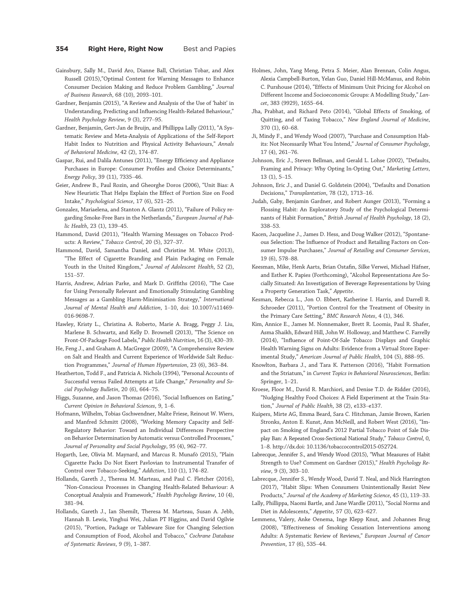#### **354 Right Here, Right Now Best and Papies**

- Gainsbury, Sally M., David Aro, Dianne Ball, Christian Tobar, and Alex Russell (2015),"Optimal Content for Warning Messages to Enhance Consumer Decision Making and Reduce Problem Gambling," Journal of Business Research, 68 (10), 2093–101.
- Gardner, Benjamin (2015), "A Review and Analysis of the Use of 'habit' in Understanding, Predicting and Influencing Health-Related Behaviour," Health Psychology Review, 9 (3), 277–95.
- Gardner, Benjamin, Gert-Jan de Bruijn, and Phillippa Lally (2011), "A Systematic Review and Meta-Analysis of Applications of the Self-Report Habit Index to Nutrition and Physical Activity Behaviours," Annals of Behavioral Medicine, 42 (2), 174–87.
- Gaspar, Rui, and Dalila Antunes (2011), "Energy Efficiency and Appliance Purchases in Europe: Consumer Profiles and Choice Determinants," Energy Policy, 39 (11), 7335–46.
- Geier, Andrew B., Paul Rozin, and Gheorghe Doros (2006), "Unit Bias: A New Heuristic That Helps Explain the Effect of Portion Size on Food Intake," Psychological Science, 17 (6), 521–25.
- Gonzalez, Mariaelena, and Stanton A. Glantz (2011), "Failure of Policy regarding Smoke-Free Bars in the Netherlands," European Journal of Public Health, 23 (1), 139–45.
- Hammond, David (2011), "Health Warning Messages on Tobacco Products: A Review," Tobacco Control, 20 (5), 327–37.
- Hammond, David, Samantha Daniel, and Christine M. White (2013), "The Effect of Cigarette Branding and Plain Packaging on Female Youth in the United Kingdom," Journal of Adolescent Health, 52 (2), 151–57.
- Harris, Andrew, Adrian Parke, and Mark D. Griffiths (2016), "The Case for Using Personally Relevant and Emotionally Stimulating Gambling Messages as a Gambling Harm-Minimisation Strategy," International Journal of Mental Health and Addiction, 1–10, doi: 10.1007/s11469- 016-9698-7.
- Hawley, Kristy L., Christina A. Roberto, Marie A. Bragg, Peggy J. Liu, Marlene B. Schwartz, and Kelly D. Brownell (2013), "The Science on Front-Of-Package Food Labels," Public Health Nutrition, 16 (3), 430–39.
- He, Feng J., and Graham A. MacGregor (2009), "A Comprehensive Review on Salt and Health and Current Experience of Worldwide Salt Reduction Programmes," Journal of Human Hypertension, 23 (6), 363–84.
- Heatherton, Todd F., and Patricia A. Nichols (1994), "Personal Accounts of Successful versus Failed Attempts at Life Change," Personality and Social Psychology Bulletin, 20 (6), 664–75.
- Higgs, Suzanne, and Jason Thomas (2016), "Social Influences on Eating," Current Opinion in Behavioral Sciences, 9, 1–6.
- Hofmann, Wilhelm, Tobias Gschwendner, Malte Friese, Reinout W. Wiers, and Manfred Schmitt (2008), "Working Memory Capacity and Self-Regulatory Behavior: Toward an Individual Differences Perspective on Behavior Determination by Automatic versus Controlled Processes," Journal of Personality and Social Psychology, 95 (4), 962–77.
- Hogarth, Lee, Olivia M. Maynard, and Marcus R. Munafò (2015), "Plain Cigarette Packs Do Not Exert Pavlovian to Instrumental Transfer of Control over Tobacco-Seeking," Addiction, 110 (1), 174–82.
- Hollands, Gareth J., Theresa M. Marteau, and Paul C. Fletcher (2016), "Non-Conscious Processes in Changing Health-Related Behaviour: A Conceptual Analysis and Framework," Health Psychology Review, 10 (4), 381–94.
- Hollands, Gareth J., Ian Shemilt, Theresa M. Marteau, Susan A. Jebb, Hannah B. Lewis, Yinghui Wei, Julian PT Higgins, and David Ogilvie (2015), "Portion, Package or Tableware Size for Changing Selection and Consumption of Food, Alcohol and Tobacco," Cochrane Database of Systematic Reviews, 9 (9), 1–387.
- Holmes, John, Yang Meng, Petra S. Meier, Alan Brennan, Colin Angus, Alexia Campbell-Burton, Yelan Guo, Daniel Hill-McManus, and Robin C. Purshouse (2014), "Effects of Minimum Unit Pricing for Alcohol on Different Income and Socioeconomic Groups: A Modelling Study," Lancet, 383 (9929), 1655–64.
- Jha, Prabhat, and Richard Peto (2014), "Global Effects of Smoking, of Quitting, and of Taxing Tobacco," New England Journal of Medicine, 370 (1), 60–68.
- Ji, Mindy F., and Wendy Wood (2007), "Purchase and Consumption Habits: Not Necessarily What You Intend," Journal of Consumer Psychology, 17 (4), 261–76.
- Johnson, Eric J., Steven Bellman, and Gerald L. Lohse (2002), "Defaults, Framing and Privacy: Why Opting In-Opting Out," Marketing Letters, 13 (1), 5–15.
- Johnson, Eric J., and Daniel G. Goldstein (2004), "Defaults and Donation Decisions," Transplantation, 78 (12), 1713–16.
- Judah, Gaby, Benjamin Gardner, and Robert Aunger (2013), "Forming a Flossing Habit: An Exploratory Study of the Psychological Determinants of Habit Formation," British Journal of Health Psychology, 18 (2), 338–53.
- Kacen, Jacqueline J., James D. Hess, and Doug Walker (2012), "Spontaneous Selection: The Influence of Product and Retailing Factors on Consumer Impulse Purchases," Journal of Retailing and Consumer Services, 19 (6), 578–88.
- Keesman, Mike, Henk Aarts, Brian Ostafin, Silke Verwei, Michael Häfner, and Esther K. Papies (Forthcoming), "Alcohol Representations Are Socially Situated: An Investigation of Beverage Representations by Using a Property Generation Task," Appetite.
- Kesman, Rebecca L., Jon O. Ebbert, Katherine I. Harris, and Darrell R. Schroeder (2011), "Portion Control for the Treatment of Obesity in the Primary Care Setting," BMC Research Notes, 4 (1), 346.
- Kim, Annice E., James M. Nonnemaker, Brett R. Loomis, Paul R. Shafer, Asma Shaikh, Edward Hill, John W. Holloway, and Matthew C. Farrelly (2014), "Influence of Point-Of-Sale Tobacco Displays and Graphic Health Warning Signs on Adults: Evidence from a Virtual Store Experimental Study," American Journal of Public Health, 104 (5), 888-95.
- Knowlton, Barbara J., and Tara K. Patterson (2016), "Habit Formation and the Striatum," in Current Topics in Behavioral Neurosciences, Berlin: Springer, 1–21.
- Kroese, Floor M., David R. Marchiori, and Denise T.D. de Ridder (2016), "Nudging Healthy Food Choices: A Field Experiment at the Train Station," Journal of Public Health, 38 (2), e133–e137.
- Kuipers, Mirte AG, Emma Beard, Sara C. Hitchman, Jamie Brown, Karien Stronks, Anton E. Kunst, Ann McNeill, and Robert West (2016), "Impact on Smoking of England's 2012 Partial Tobacco Point of Sale Display Ban: A Repeated Cross-Sectional National Study," Tobacco Control, 0, 1–8. http://dx.doi: 10.1136/tobaccocontrol2015-052724.
- Labrecque, Jennifer S., and Wendy Wood (2015), "What Measures of Habit Strength to Use? Comment on Gardner (2015)," Health Psychology Review, 9 (3), 303–10.
- Labrecque, Jennifer S., Wendy Wood, David T. Neal, and Nick Harrington (2017), "Habit Slips: When Consumers Unintentionally Resist New Products," Journal of the Academy of Marketing Science, 45 (1), 119–33.
- Lally, Phillippa, Naomi Bartle, and Jane Wardle (2011), "Social Norms and Diet in Adolescents," Appetite, 57 (3), 623–627.
- Lemmens, Valery, Anke Oenema, Inge Klepp Knut, and Johannes Brug (2008), "Effectiveness of Smoking Cessation Interventions among Adults: A Systematic Review of Reviews," European Journal of Cancer Prevention, 17 (6), 535–44.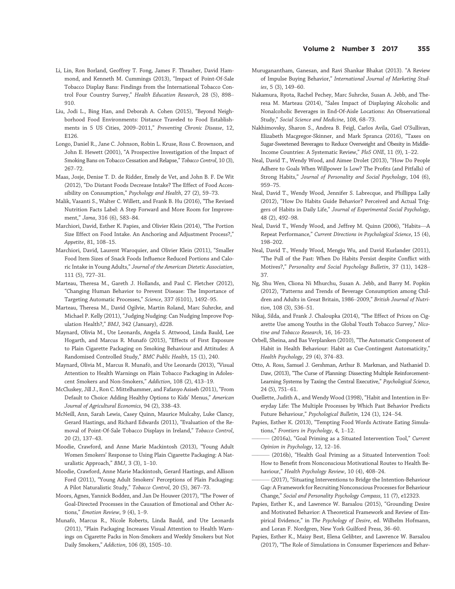- Li, Lin, Ron Borland, Geoffrey T. Fong, James F. Thrasher, David Hammond, and Kenneth M. Cummings (2013), "Impact of Point-Of-Sale Tobacco Display Bans: Findings from the International Tobacco Control Four Country Survey," Health Education Research, 28 (5), 898– 910.
- Liu, Jodi L., Bing Han, and Deborah A. Cohen (2015), "Beyond Neighborhood Food Environments: Distance Traveled to Food Establishments in 5 US Cities, 2009–2011," Preventing Chronic Disease, 12, E126.
- Longo, Daniel R., Jane C. Johnson, Robin L. Kruse, Ross C. Brownson, and John E. Hewett (2001), "A Prospective Investigation of the Impact of Smoking Bans on Tobacco Cessation and Relapse," Tobacco Control, 10 (3), 267–72.
- Maas, Josje, Denise T. D. de Ridder, Emely de Vet, and John B. F. De Wit (2012), "Do Distant Foods Decrease Intake? The Effect of Food Accessibility on Consumption," Psychology and Health, 27 (2), 59–73.
- Malik, Vasanti S., Walter C. Willett, and Frank B. Hu (2016), "The Revised Nutrition Facts Label: A Step Forward and More Room for Improvement," Jama, 316 (6), 583–84.
- Marchiori, David, Esther K. Papies, and Olivier Klein (2014), "The Portion Size Effect on Food Intake. An Anchoring and Adjustment Process?," Appetite, 81, 108–15.
- Marchiori, David, Laurent Waroquier, and Olivier Klein (2011), "Smaller Food Item Sizes of Snack Foods Influence Reduced Portions and Caloric Intake in Young Adults," Journal of the American Dietetic Association, 111 (5), 727–31.
- Marteau, Theresa M., Gareth J. Hollands, and Paul C. Fletcher (2012), "Changing Human Behavior to Prevent Disease: The Importance of Targeting Automatic Processes," Science, 337 (6101), 1492–95.
- Marteau, Theresa M., David Ogilvie, Martin Roland, Marc Suhrcke, and Michael P. Kelly (2011), "Judging Nudging: Can Nudging Improve Population Health?," BMJ, 342 (January), d228.
- Maynard, Olivia M., Ute Leonards, Angela S. Attwood, Linda Bauld, Lee Hogarth, and Marcus R. Munafò (2015), "Effects of First Exposure to Plain Cigarette Packaging on Smoking Behaviour and Attitudes: A Randomised Controlled Study," BMC Public Health, 15 (1), 240.
- Maynard, Olivia M., Marcus R. Munafò, and Ute Leonards (2013), "Visual Attention to Health Warnings on Plain Tobacco Packaging in Adolescent Smokers and Non-Smokers," Addiction, 108 (2), 413–19.
- McCluskey, Jill J., Ron C. Mittelhammer, and Fafanyo Asiseh (2011), "From Default to Choice: Adding Healthy Options to Kids' Menus," American Journal of Agricultural Economics, 94 (2), 338–43.
- McNeill, Ann, Sarah Lewis, Casey Quinn, Maurice Mulcahy, Luke Clancy, Gerard Hastings, and Richard Edwards (2011), "Evaluation of the Removal of Point-Of-Sale Tobacco Displays in Ireland," Tobacco Control, 20 (2), 137–43.
- Moodie, Crawford, and Anne Marie Mackintosh (2013), "Young Adult Women Smokers' Response to Using Plain Cigarette Packaging: A Naturalistic Approach," BMJ, 3 (3), 1–10.
- Moodie, Crawford, Anne Marie Mackintosh, Gerard Hastings, and Allison Ford (2011), "Young Adult Smokers' Perceptions of Plain Packaging: A Pilot Naturalistic Study," Tobacco Control, 20 (5), 367–73.
- Moors, Agnes, Yannick Boddez, and Jan De Houwer (2017), "The Power of Goal-Directed Processes in the Causation of Emotional and Other Actions," Emotion Review, 9 (4), 1–9.
- Munafò, Marcus R., Nicole Roberts, Linda Bauld, and Ute Leonards (2011), "Plain Packaging Increases Visual Attention to Health Warnings on Cigarette Packs in Non-Smokers and Weekly Smokers but Not Daily Smokers," Addiction, 106 (8), 1505–10.
- Muruganantham, Ganesan, and Ravi Shankar Bhakat (2013). "A Review of Impulse Buying Behavior," International Journal of Marketing Studies, 5 (3), 149–60.
- Nakamura, Ryota, Rachel Pechey, Marc Suhrcke, Susan A. Jebb, and Theresa M. Marteau (2014), "Sales Impact of Displaying Alcoholic and Nonalcoholic Beverages in End-Of-Aisle Locations: An Observational Study," Social Science and Medicine, 108, 68–73.
- Nakhimovsky, Sharon S., Andrea B. Feigl, Carlos Avila, Gael O'Sullivan, Elizabeth Macgregor-Skinner, and Mark Spranca (2016), "Taxes on Sugar-Sweetened Beverages to Reduce Overweight and Obesity in Middle-Income Countries: A Systematic Review," PloS ONE, 11 (9), 1–22.
- Neal, David T., Wendy Wood, and Aimee Drolet (2013), "How Do People Adhere to Goals When Willpower Is Low? The Profits (and Pitfalls) of Strong Habits," Journal of Personality and Social Psychology, 104 (6), 959–75.
- Neal, David T., Wendy Wood, Jennifer S. Labrecque, and Phillippa Lally (2012), "How Do Habits Guide Behavior? Perceived and Actual Triggers of Habits in Daily Life," Journal of Experimental Social Psychology, 48 (2), 492–98.
- Neal, David T., Wendy Wood, and Jeffrey M. Quinn (2006), "Habits—A Repeat Performance," Current Directions in Psychological Science, 15 (4), 198–202.
- Neal, David T., Wendy Wood, Mengju Wu, and David Kurlander (2011), "The Pull of the Past: When Do Habits Persist despite Conflict with Motives?," Personality and Social Psychology Bulletin, 37 (11), 1428– 37.
- Ng, Shu Wen, Cliona Ni Mhurchu, Susan A. Jebb, and Barry M. Popkin (2012), "Patterns and Trends of Beverage Consumption among Children and Adults in Great Britain, 1986–2009," British Journal of Nutrition, 108 (3), 536–51.
- Nikaj, Silda, and Frank J. Chaloupka (2014), "The Effect of Prices on Cigarette Use among Youths in the Global Youth Tobacco Survey," Nicotine and Tobacco Research, 16, 16–23.
- Orbell, Sheina, and Bas Verplanken (2010), "The Automatic Component of Habit in Health Behaviour: Habit as Cue-Contingent Automaticity," Health Psychology, 29 (4), 374–83.
- Otto, A. Ross, Samuel J. Gershman, Arthur B. Markman, and Nathaniel D. Daw, (2013), "The Curse of Planning: Dissecting Multiple Reinforcement-Learning Systems by Taxing the Central Executive," Psychological Science, 24 (5), 751–61.
- Ouellette, Judith A., and Wendy Wood (1998), "Habit and Intention in Everyday Life: The Multiple Processes by Which Past Behavior Predicts Future Behaviour," Psychological Bulletin, 124 (1), 124–54.
- Papies, Esther K. (2013), "Tempting Food Words Activate Eating Simulations," Frontiers in Psychology, 4, 1–12.
- (2016a), "Goal Priming as a Situated Intervention Tool," Current Opinion in Psychology, 12, 12–16.
- (2016b), "Health Goal Priming as a Situated Intervention Tool: How to Benefit from Nonconscious Motivational Routes to Health Behaviour," Health Psychology Review, 10 (4), 408–24.
- (2017), "Situating Interventions to Bridge the Intention-Behaviour Gap: A Framework for Recruiting Nonconscious Processes for Behaviour Change," Social and Personality Psychology Compass, 11 (7), e12323.
- Papies, Esther K., and Lawrence W. Barsalou (2015), "Grounding Desire and Motivated Behavior: A Theoretical Framework and Review of Empirical Evidence," in The Psychology of Desire, ed. Wilhelm Hofmann, and Loran F. Nordgren, New York Guilford Press, 36–60.
- Papies, Esther K., Maisy Best, Elena Gelibter, and Lawrence W. Barsalou (2017), "The Role of Simulations in Consumer Experiences and Behav-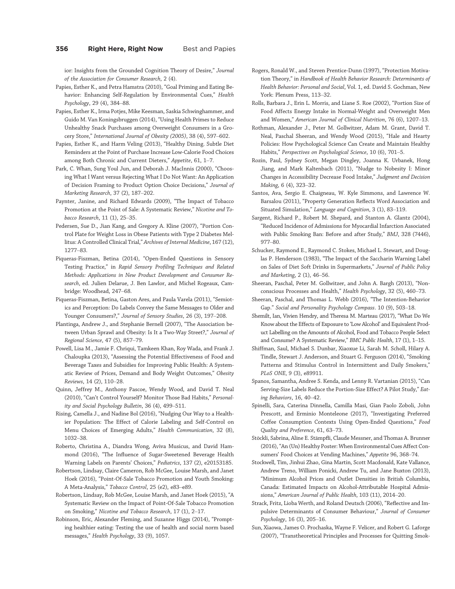ior: Insights from the Grounded Cognition Theory of Desire," Journal of the Association for Consumer Research, 2 (4).

- Papies, Esther K., and Petra Hamstra (2010), "Goal Priming and Eating Behavior: Enhancing Self-Regulation by Environmental Cues," Health Psychology, 29 (4), 384–88.
- Papies, Esther K., Irma Potjes, Mike Keesman, Saskia Schwinghammer, and Guido M. Van Koningsbruggen (2014), "Using Health Primes to Reduce Unhealthy Snack Purchases among Overweight Consumers in a Grocery Store," International Journal of Obesity (2005), 38 (4), 597–602.
- Papies, Esther K., and Harm Veling (2013), "Healthy Dining. Subtle Diet Reminders at the Point of Purchase Increase Low-Calorie Food Choices among Both Chronic and Current Dieters," Appetite, 61, 1–7.
- Park, C. Whan, Sung Youl Jun, and Deborah J. MacInnis (2000), "Choosing What I Want versus Rejecting What I Do Not Want: An Application of Decision Framing to Product Option Choice Decisions," Journal of Marketing Research, 37 (2), 187–202.
- Paynter, Janine, and Richard Edwards (2009), "The Impact of Tobacco Promotion at the Point of Sale: A Systematic Review," Nicotine and Tobacco Research, 11 (1), 25–35.
- Pedersen, Sue D., Jian Kang, and Gregory A. Kline (2007), "Portion Control Plate for Weight Loss in Obese Patients with Type 2 Diabetes Mellitus: A Controlled Clinical Trial," Archives of Internal Medicine, 167 (12), 1277–83.
- Piqueras-Fiszman, Betina (2014), "Open-Ended Questions in Sensory Testing Practice," in Rapid Sensory Profiling Techniques and Related Methods: Applications in New Product Development and Consumer Research, ed. Julien Delarue, J. Ben Lawlor, and Michel Rogeaux, Cambridge: Woodhead, 247–68.
- Piqueras-Fiszman, Betina, Gaston Ares, and Paula Varela (2011), "Semiotics and Perception: Do Labels Convey the Same Messages to Older and Younger Consumers?," Journal of Sensory Studies, 26 (3), 197–208.
- Plantinga, Andrew J., and Stephanie Bernell (2007), "The Association between Urban Sprawl and Obesity: Is It a Two-Way Street?," Journal of Regional Science, 47 (5), 857–79.
- Powell, Lisa M., Jamie F. Chriqui, Tamkeen Khan, Roy Wada, and Frank J. Chaloupka (2013), "Assessing the Potential Effectiveness of Food and Beverage Taxes and Subsidies for Improving Public Health: A Systematic Review of Prices, Demand and Body Weight Outcomes," Obesity Reviews, 14 (2), 110–28.
- Quinn, Jeffrey M., Anthony Pascoe, Wendy Wood, and David T. Neal (2010), "Can't Control Yourself? Monitor Those Bad Habits," Personality and Social Psychology Bulletin, 36 (4), 499–511.
- Rising, Camella J., and Nadine Bol (2016), "Nudging Our Way to a Healthier Population: The Effect of Calorie Labeling and Self-Control on Menu Choices of Emerging Adults," Health Communication, 32 (8), 1032–38.
- Roberto, Christina A., Diandra Wong, Aviva Musicus, and David Hammond (2016), "The Influence of Sugar-Sweetened Beverage Health Warning Labels on Parents' Choices," Pediatrics, 137 (2), e20153185.
- Robertson, Lindsay, Claire Cameron, Rob McGee, Louise Marsh, and Janet Hoek (2016), "Point-Of-Sale Tobacco Promotion and Youth Smoking: A Meta-Analysis," Tobacco Control, 25 (e2), e83–e89.
- Robertson, Lindsay, Rob McGee, Louise Marsh, and Janet Hoek (2015), "A Systematic Review on the Impact of Point-Of-Sale Tobacco Promotion on Smoking," Nicotine and Tobacco Research, 17 (1), 2–17.
- Robinson, Eric, Alexander Fleming, and Suzanne Higgs (2014), "Prompting healthier eating: Testing the use of health and social norm based messages," Health Psychology, 33 (9), 1057.
- Rogers, Ronald W., and Steven Prentice-Dunn (1997), "Protection Motivation Theory," in Handbook of Health Behavior Research: Determinants of Health Behavior: Personal and Social, Vol. 1, ed. David S. Gochman, New York: Plenum Press, 113–32.
- Rolls, Barbara J., Erin L. Morris, and Liane S. Roe (2002), "Portion Size of Food Affects Energy Intake in Normal-Weight and Overweight Men and Women," American Journal of Clinical Nutrition, 76 (6), 1207–13.
- Rothman, Alexander J., Peter M. Gollwitzer, Adam M. Grant, David T. Neal, Paschal Sheeran, and Wendy Wood (2015), "Hale and Hearty Policies: How Psychological Science Can Create and Maintain Healthy Habits," Perspectives on Psychological Science, 10 (6), 701–5.
- Rozin, Paul, Sydney Scott, Megan Dingley, Joanna K. Urbanek, Hong Jiang, and Mark Kaltenbach (2011), "Nudge to Nobesity I: Minor Changes in Accessibility Decrease Food Intake," Judgment and Decision Making, 6 (4), 323–32.
- Santos, Ava, Sergio E. Chaigneau, W. Kyle Simmons, and Lawrence W. Barsalou (2011), "Property Generation Reflects Word Association and Situated Simulation," Language and Cognition, 3 (1), 83–119.
- Sargent, Richard P., Robert M. Shepard, and Stanton A. Glantz (2004), "Reduced Incidence of Admissions for Myocardial Infarction Associated with Public Smoking Ban: Before and after Study," BMJ, 328 (7446), 977–80.
- Schucker, Raymond E., Raymond C. Stokes, Michael L. Stewart, and Douglas P. Henderson (1983), "The Impact of the Saccharin Warning Label on Sales of Diet Soft Drinks in Supermarkets," Journal of Public Policy and Marketing, 2 (1), 46–56.
- Sheeran, Paschal, Peter M. Gollwitzer, and John A. Bargh (2013), "Nonconscious Processes and Health," Health Psychology, 32 (5), 460–73.
- Sheeran, Paschal, and Thomas L. Webb (2016), "The Intention-Behavior Gap." Social and Personality Psychology Compass. 10 (9), 503–18.
- Shemilt, Ian, Vivien Hendry, and Theresa M. Marteau (2017), "What Do We Know about the Effects of Exposure to 'Low Alcohol' and Equivalent Product Labelling on the Amounts of Alcohol, Food and Tobacco People Select and Consume? A Systematic Review," BMC Public Health, 17 (1), 1-15.
- Shiffman, Saul, Michael S. Dunbar, Xiaoxue Li, Sarah M. Scholl, Hilary A. Tindle, Stewart J. Anderson, and Stuart G. Ferguson (2014), "Smoking Patterns and Stimulus Control in Intermittent and Daily Smokers," PLoS ONE, 9 (3), e89911.
- Spanos, Samantha, Andree S. Kenda, and Lenny R. Vartanian (2015), "Can Serving-Size Labels Reduce the Portion-Size Effect? A Pilot Study," Eating Behaviors, 16, 40–42.
- Spinelli, Sara, Caterina Dinnella, Camilla Masi, Gian Paolo Zoboli, John Prescott, and Erminio Monteleone (2017), "Investigating Preferred Coffee Consumption Contexts Using Open-Ended Questions," Food Quality and Preference, 61, 63–73.
- Stöckli, Sabrina, Aline E. Stämpfli, Claude Messner, and Thomas A. Brunner (2016),"An (Un) Healthy Poster: When Environmental Cues Affect Consumers' Food Choices at Vending Machines," Appetite 96, 368–74.
- Stockwell, Tim, Jinhui Zhao, Gina Martin, Scott Macdonald, Kate Vallance, Andrew Treno, William Ponicki, Andrew Tu, and Jane Buxton (2013), "Minimum Alcohol Prices and Outlet Densities in British Columbia, Canada: Estimated Impacts on Alcohol-Attributable Hospital Admissions," American Journal of Public Health, 103 (11), 2014–20.
- Strack, Fritz, Lioba Werth, and Roland Deutsch (2006), "Reflective and Impulsive Determinants of Consumer Behaviour," Journal of Consumer Psychology, 16 (3), 205–16.
- Sun, Xiaowa, James O. Prochaska, Wayne F. Velicer, and Robert G. Laforge (2007), "Transtheoretical Principles and Processes for Quitting Smok-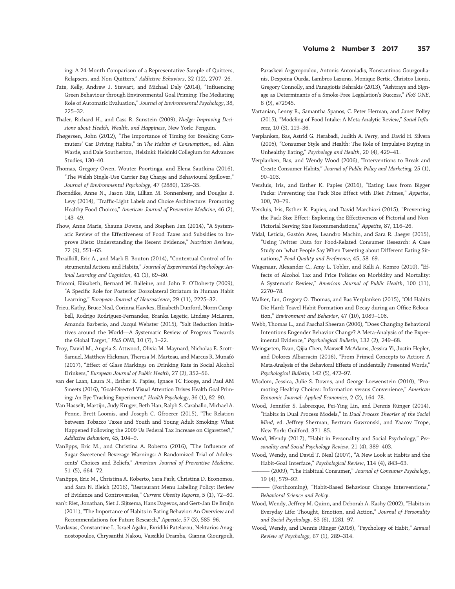ing: A 24-Month Comparison of a Representative Sample of Quitters, Relapsers, and Non-Quitters," Addictive Behaviors, 32 (12), 2707–26.

- Tate, Kelly, Andrew J. Stewart, and Michael Daly (2014), "Influencing Green Behaviour through Environmental Goal Priming: The Mediating Role of Automatic Evaluation," Journal of Environmental Psychology, 38, 225–32.
- Thaler, Richard H., and Cass R. Sunstein (2009), Nudge: Improving Decisions about Health, Wealth, and Happiness, New York: Penguin.
- Thøgersen, John (2012), "The Importance of Timing for Breaking Commuters' Car Driving Habits," in The Habits of Consumption,, ed. Alan Warde, and Dale Southerton, Helsinki: Helsinki Collegium for Advances Studies, 130–40.
- Thomas, Gregory Owen, Wouter Poortinga, and Elena Sautkina (2016), "The Welsh Single-Use Carrier Bag Charge and Behavioural Spillover," Journal of Environmental Psychology, 47 (2880), 126–35.
- Thorndike, Anne N., Jason Riis, Lillian M. Sonnenberg, and Douglas E. Levy (2014), "Traffic-Light Labels and Choice Architecture: Promoting Healthy Food Choices," American Journal of Preventive Medicine, 46 (2), 143–49.
- Thow, Anne Marie, Shauna Downs, and Stephen Jan (2014), "A Systematic Review of the Effectiveness of Food Taxes and Subsidies to Improve Diets: Understanding the Recent Evidence," Nutrition Reviews, 72 (9), 551–65.
- Thrailkill, Eric A., and Mark E. Bouton (2014), "Contextual Control of Instrumental Actions and Habits," Journal of Experimental Psychology: Animal Learning and Cognition, 41 (1), 69–80.
- Tricomi, Elizabeth, Bernard W. Balleine, and John P. O'Doherty (2009), "A Specific Role for Posterior Dorsolateral Striatum in Human Habit Learning," European Journal of Neuroscience, 29 (11), 2225–32.
- Trieu, Kathy, Bruce Neal, Corinna Hawkes, Elizabeth Dunford, Norm Campbell, Rodrigo Rodriguez-Fernandez, Branka Legetic, Lindsay McLaren, Amanda Barberio, and Jacqui Webster (2015), "Salt Reduction Initiatives around the World—A Systematic Review of Progress Towards the Global Target," PloS ONE, 10 (7), 1-22.
- Troy, David M., Angela S. Attwood, Olivia M. Maynard, Nicholas E. Scott-Samuel, Matthew Hickman, Theresa M. Marteau, and Marcus R. Munafò (2017), "Effect of Glass Markings on Drinking Rate in Social Alcohol Drinkers," European Journal of Public Health, 27 (2), 352–56.
- van der Laan, Laura N., Esther K. Papies, Ignace TC Hooge, and Paul AM Smeets (2016), "Goal-Directed Visual Attention Drives Health Goal Priming: An Eye-Tracking Experiment," Health Psychology, 36 (1), 82–90.
- Van Hasselt, Martijn, Judy Kruger, Beth Han, Ralph S. Caraballo, Michael A. Penne, Brett Loomis, and Joseph C. Gfroerer (2015), "The Relation between Tobacco Taxes and Youth and Young Adult Smoking: What Happened Following the 2009 Us Federal Tax Increase on Cigarettes?," Addictive Behaviors, 45, 104–9.
- VanEpps, Eric M., and Christina A. Roberto (2016), "The Influence of Sugar-Sweetened Beverage Warnings: A Randomized Trial of Adolescents' Choices and Beliefs," American Journal of Preventive Medicine, 51 (5), 664–72.
- VanEpps, Eric M., Christina A. Roberto, Sara Park, Christina D. Economos, and Sara N. Bleich (2016), "Restaurant Menu Labeling Policy: Review of Evidence and Controversies," Current Obesity Reports, 5 (1), 72–80.
- van't Riet, Jonathan, Siet J. Sijtsema, Hans Dagevos, and Gert-Jan De Bruijn (2011), "The Importance of Habits in Eating Behavior: An Overview and Recommendations for Future Research," Appetite, 57 (3), 585–96.
- Vardavas, Constantine I., Israel Agaku, Evridiki Patelarou, Nektarios Anagnostopoulos, Chrysanthi Nakou, Vassiliki Dramba, Gianna Giourgouli,

Paraskevi Argyropoulou, Antonis Antoniadis, Konstantinos Gourgoulianis, Despoina Ourda, Lambros Lazuras, Monique Bertic, Christos Lionis, Gregory Connolly, and Panagiotis Behrakis (2013), "Ashtrays and Signage as Determinants of a Smoke-Free Legislation's Success," PloS ONE, 8 (9), e72945.

- Vartanian, Lenny R., Samantha Spanos, C. Peter Herman, and Janet Polivy (2015), "Modeling of Food Intake: A Meta-Analytic Review," Social Influence, 10 (3), 119–36.
- Verplanken, Bas, Astrid G. Herabadi, Judith A. Perry, and David H. Silvera (2005), "Consumer Style and Health: The Role of Impulsive Buying in Unhealthy Eating," Psychology and Health, 20 (4), 429–41.
- Verplanken, Bas, and Wendy Wood (2006), "Interventions to Break and Create Consumer Habits," Journal of Public Policy and Marketing, 25 (1), 90–103.
- Versluis, Iris, and Esther K. Papies (2016), "Eating Less from Bigger Packs: Preventing the Pack Size Effect with Diet Primes," Appetite, 100, 70–79.
- Versluis, Iris, Esther K. Papies, and David Marchiori (2015), "Preventing the Pack Size Effect: Exploring the Effectiveness of Pictorial and Non-Pictorial Serving Size Recommendations," Appetite, 87, 116–26.
- Vidal, Leticia, Gastón Ares, Leandro Machín, and Sara R. Jaeger (2015), "Using Twitter Data for Food-Related Consumer Research: A Case Study on "what People Say When Tweeting about Different Eating Situations," Food Quality and Preference, 45, 58–69.
- Wagenaar, Alexander C., Amy L. Tobler, and Kelli A. Komro (2010), "Effects of Alcohol Tax and Price Policies on Morbidity and Mortality: A Systematic Review," American Journal of Public Health, 100 (11), 2270–78.
- Walker, Ian, Gregory O. Thomas, and Bas Verplanken (2015), "Old Habits Die Hard: Travel Habit Formation and Decay during an Office Relocation," Environment and Behavior, 47 (10), 1089–106.
- Webb, Thomas L., and Paschal Sheeran (2006), "Does Changing Behavioral Intentions Engender Behavior Change? A Meta-Analysis of the Experimental Evidence," Psychological Bulletin, 132 (2), 249-68.
- Weingarten, Evan, Qijia Chen, Maxwell McAdams, Jessica Yi, Justin Hepler, and Dolores Albarracín (2016), "From Primed Concepts to Action: A Meta-Analysis of the Behavioral Effects of Incidentally Presented Words," Psychological Bulletin, 142 (5), 472–97.
- Wisdom, Jessica, Julie S. Downs, and George Loewenstein (2010), "Promoting Healthy Choices: Information versus Convenience," American Economic Journal: Applied Economics, 2 (2), 164–78.
- Wood, Jennifer S. Labrecque, Pei-Ying Lin, and Dennis Rünger (2014), "Habits in Dual Process Models," in Dual Process Theories of the Social Mind, ed. Jeffrey Sherman, Bertram Gawronski, and Yaacov Trope, New York: Guilford, 371–85.
- Wood, Wendy (2017), "Habit in Personality and Social Psychology," Personality and Social Psychology Review, 21 (4), 389–403.
- Wood, Wendy, and David T. Neal (2007), "A New Look at Habits and the Habit-Goal Interface," Psychological Review, 114 (4), 843–63.
- (2009), "The Habitual Consumer," Journal of Consumer Psychology, 19 (4), 579–92.
- (Forthcoming), "Habit-Based Behaviour Change Interventions," Behavioral Science and Policy.
- Wood, Wendy, Jeffrey M. Quinn, and Deborah A. Kashy (2002), "Habits in Everyday Life: Thought, Emotion, and Action," Journal of Personality and Social Psychology, 83 (6), 1281–97.
- Wood, Wendy, and Dennis Rünger (2016), "Psychology of Habit," Annual Review of Psychology, 67 (1), 289–314.